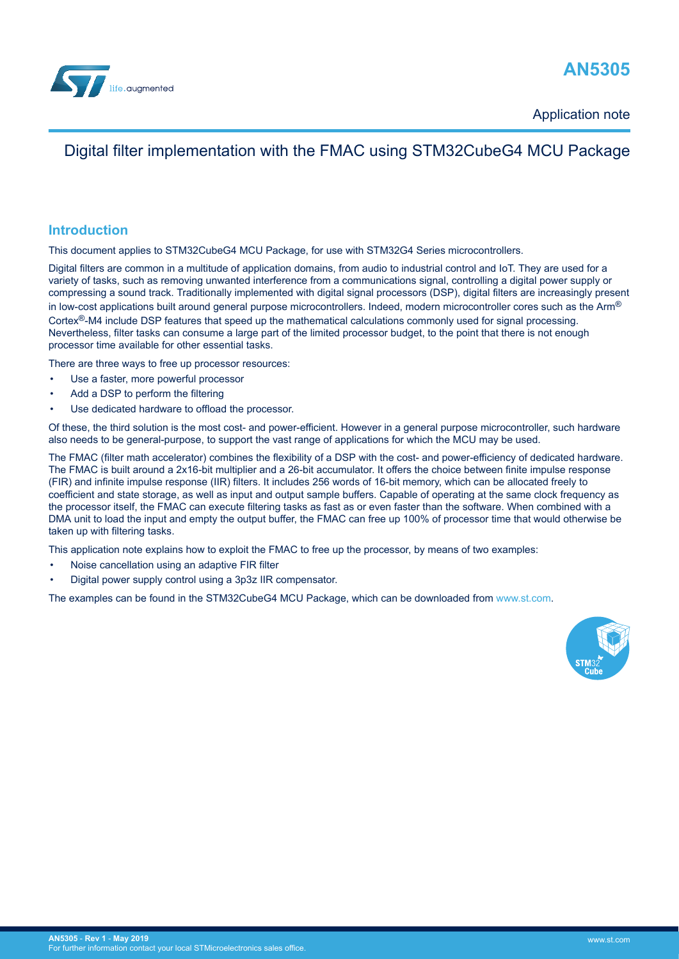

## **AN5305**

Application note

## Digital filter implementation with the FMAC using STM32CubeG4 MCU Package

## **Introduction**

This document applies to STM32CubeG4 MCU Package, for use with STM32G4 Series microcontrollers.

Digital filters are common in a multitude of application domains, from audio to industrial control and IoT. They are used for a variety of tasks, such as removing unwanted interference from a communications signal, controlling a digital power supply or compressing a sound track. Traditionally implemented with digital signal processors (DSP), digital filters are increasingly present in low-cost applications built around general purpose microcontrollers. Indeed, modern microcontroller cores such as the Arm<sup>®</sup> Cortex<sup>®</sup>-M4 include DSP features that speed up the mathematical calculations commonly used for signal processing. Nevertheless, filter tasks can consume a large part of the limited processor budget, to the point that there is not enough processor time available for other essential tasks.

There are three ways to free up processor resources:

- Use a faster, more powerful processor
- Add a DSP to perform the filtering
- Use dedicated hardware to offload the processor.

Of these, the third solution is the most cost- and power-efficient. However in a general purpose microcontroller, such hardware also needs to be general-purpose, to support the vast range of applications for which the MCU may be used.

The FMAC (filter math accelerator) combines the flexibility of a DSP with the cost- and power-efficiency of dedicated hardware. The FMAC is built around a 2x16-bit multiplier and a 26-bit accumulator. It offers the choice between finite impulse response (FIR) and infinite impulse response (IIR) filters. It includes 256 words of 16-bit memory, which can be allocated freely to coefficient and state storage, as well as input and output sample buffers. Capable of operating at the same clock frequency as the processor itself, the FMAC can execute filtering tasks as fast as or even faster than the software. When combined with a DMA unit to load the input and empty the output buffer, the FMAC can free up 100% of processor time that would otherwise be taken up with filtering tasks.

This application note explains how to exploit the FMAC to free up the processor, by means of two examples:

- Noise cancellation using an adaptive FIR filter
- Digital power supply control using a 3p3z IIR compensator.

The examples can be found in the STM32CubeG4 MCU Package, which can be downloaded from [www.st.com](http://www.st.com).

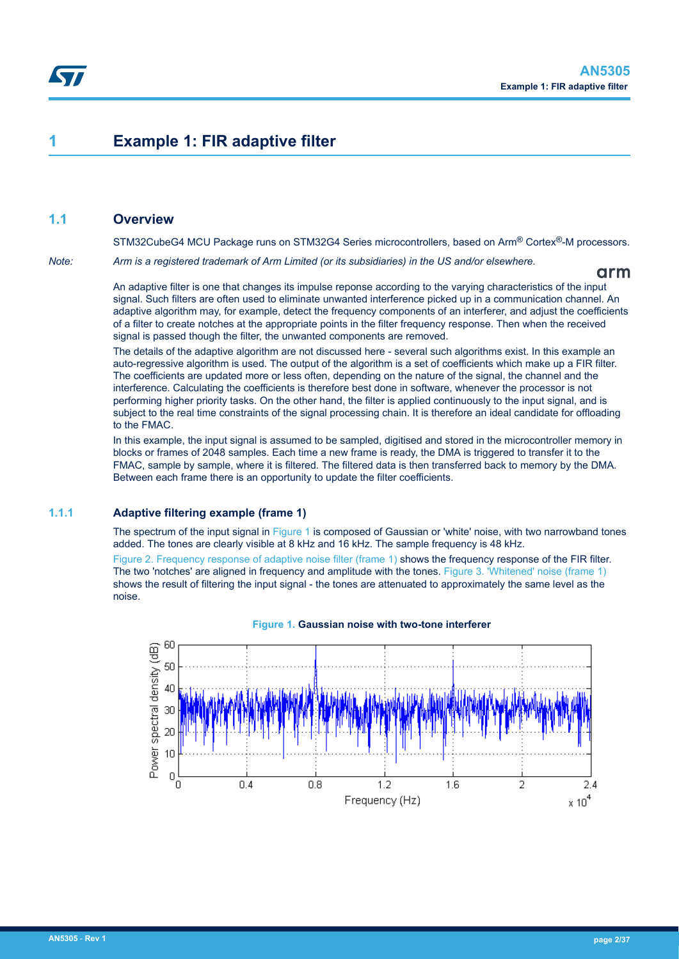## <span id="page-1-0"></span>**1 Example 1: FIR adaptive filter**

### **1.1 Overview**

STM32CubeG4 MCU Package runs on STM32G4 Series microcontrollers, based on Arm® Cortex®-M processors.

*Note: Arm is a registered trademark of Arm Limited (or its subsidiaries) in the US and/or elsewhere.*

arm

An adaptive filter is one that changes its impulse reponse according to the varying characteristics of the input signal. Such filters are often used to eliminate unwanted interference picked up in a communication channel. An adaptive algorithm may, for example, detect the frequency components of an interferer, and adjust the coefficients of a filter to create notches at the appropriate points in the filter frequency response. Then when the received signal is passed though the filter, the unwanted components are removed.

The details of the adaptive algorithm are not discussed here - several such algorithms exist. In this example an auto-regressive algorithm is used. The output of the algorithm is a set of coefficients which make up a FIR filter. The coefficients are updated more or less often, depending on the nature of the signal, the channel and the interference. Calculating the coefficients is therefore best done in software, whenever the processor is not performing higher priority tasks. On the other hand, the filter is applied continuously to the input signal, and is subject to the real time constraints of the signal processing chain. It is therefore an ideal candidate for offloading to the FMAC.

In this example, the input signal is assumed to be sampled, digitised and stored in the microcontroller memory in blocks or frames of 2048 samples. Each time a new frame is ready, the DMA is triggered to transfer it to the FMAC, sample by sample, where it is filtered. The filtered data is then transferred back to memory by the DMA. Between each frame there is an opportunity to update the filter coefficients.

#### **1.1.1 Adaptive filtering example (frame 1)**

The spectrum of the input signal in Figure 1 is composed of Gaussian or 'white' noise, with two narrowband tones added. The tones are clearly visible at 8 kHz and 16 kHz. The sample frequency is 48 kHz.

[Figure 2. Frequency response of adaptive noise filter \(frame 1\)](#page-2-0) shows the frequency response of the FIR filter. The two 'notches' are aligned in frequency and amplitude with the tones. [Figure 3. 'Whitened' noise \(frame 1\)](#page-2-0) shows the result of filtering the input signal - the tones are attenuated to approximately the same level as the noise.



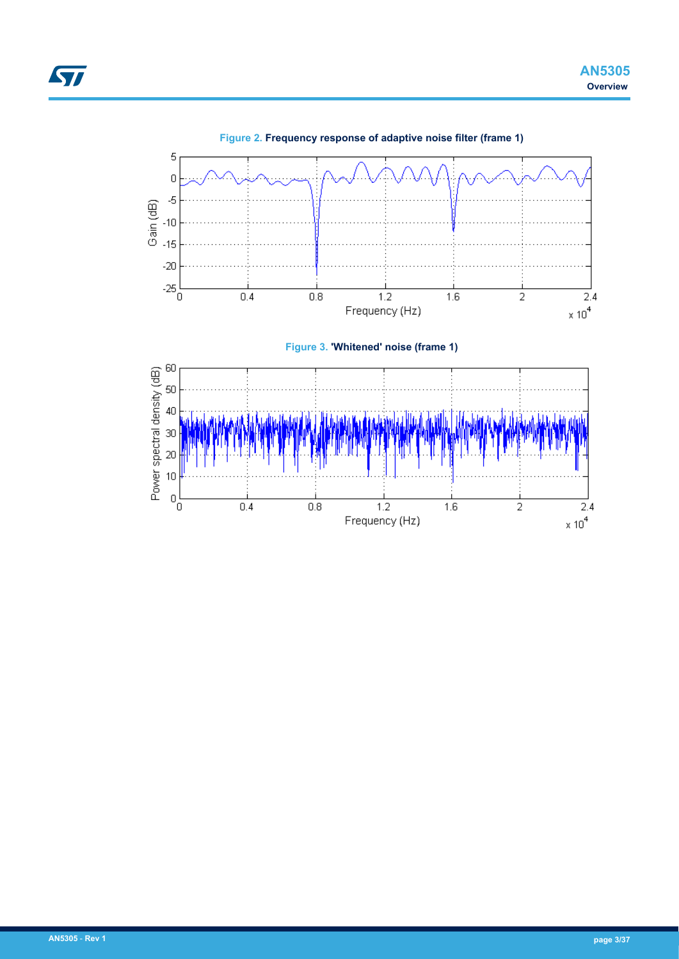<span id="page-2-0"></span>

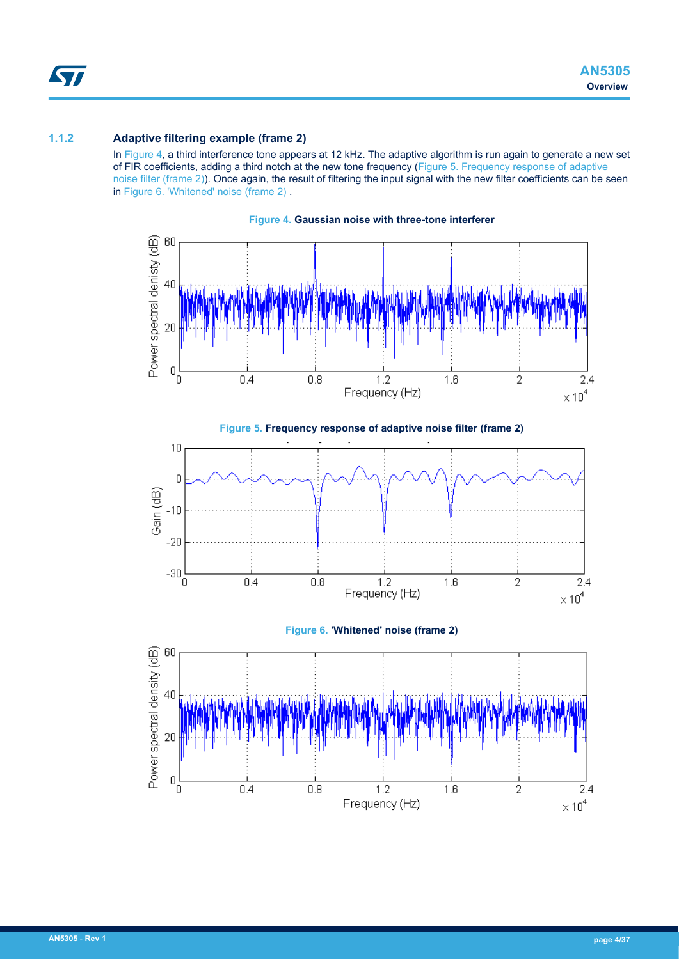## <span id="page-3-0"></span>**1.1.2 Adaptive filtering example (frame 2)**

In Figure 4, a third interference tone appears at 12 kHz. The adaptive algorithm is run again to generate a new set of FIR coefficients, adding a third notch at the new tone frequency (Figure 5. Frequency response of adaptive noise filter (frame 2)). Once again, the result of filtering the input signal with the new filter coefficients can be seen in Figure 6. 'Whitened' noise (frame 2) .



**Figure 4. Gaussian noise with three-tone interferer**



**Figure 6. 'Whitened' noise (frame 2)**

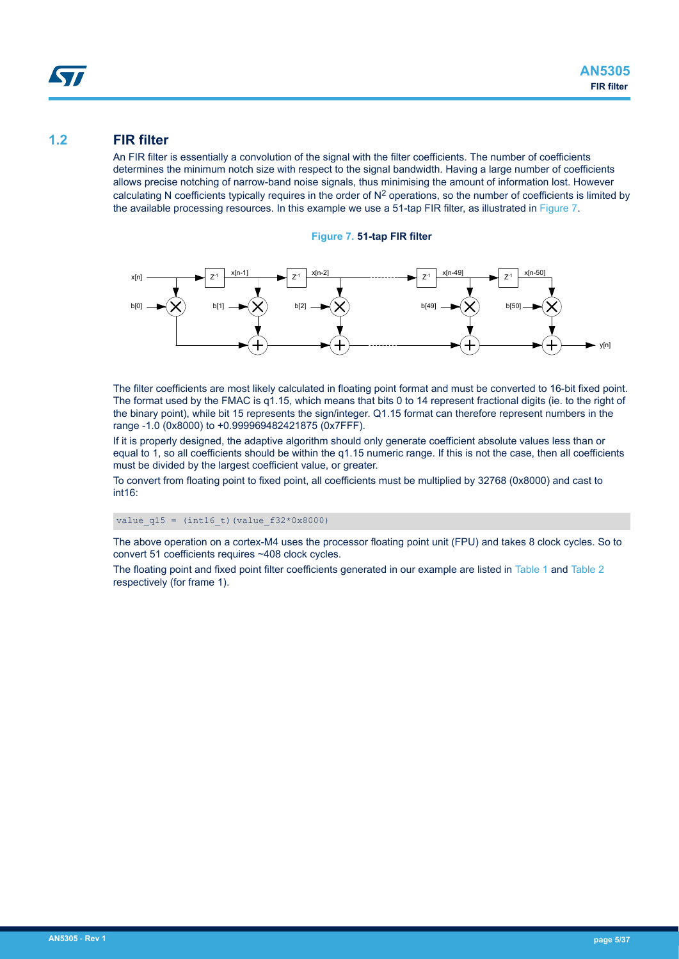# <span id="page-4-0"></span>57

## **1.2 FIR filter**

An FIR filter is essentially a convolution of the signal with the filter coefficients. The number of coefficients determines the minimum notch size with respect to the signal bandwidth. Having a large number of coefficients allows precise notching of narrow-band noise signals, thus minimising the amount of information lost. However calculating N coefficients typically requires in the order of  $N^2$  operations, so the number of coefficients is limited by the available processing resources. In this example we use a 51-tap FIR filter, as illustrated in Figure 7.

**Figure 7. 51-tap FIR filter**



The filter coefficients are most likely calculated in floating point format and must be converted to 16-bit fixed point. The format used by the FMAC is q1.15, which means that bits 0 to 14 represent fractional digits (ie. to the right of the binary point), while bit 15 represents the sign/integer. Q1.15 format can therefore represent numbers in the range -1.0 (0x8000) to +0.999969482421875 (0x7FFF).

If it is properly designed, the adaptive algorithm should only generate coefficient absolute values less than or equal to 1, so all coefficients should be within the q1.15 numeric range. If this is not the case, then all coefficients must be divided by the largest coefficient value, or greater.

To convert from floating point to fixed point, all coefficients must be multiplied by 32768 (0x8000) and cast to int16:

value  $q15 = (int16 t)$  (value  $f32*0x8000$ )

The above operation on a cortex-M4 uses the processor floating point unit (FPU) and takes 8 clock cycles. So to convert 51 coefficients requires ~408 clock cycles.

The floating point and fixed point filter coefficients generated in our example are listed in [Table 1](#page-5-0) and [Table 2](#page-5-0) respectively (for frame 1).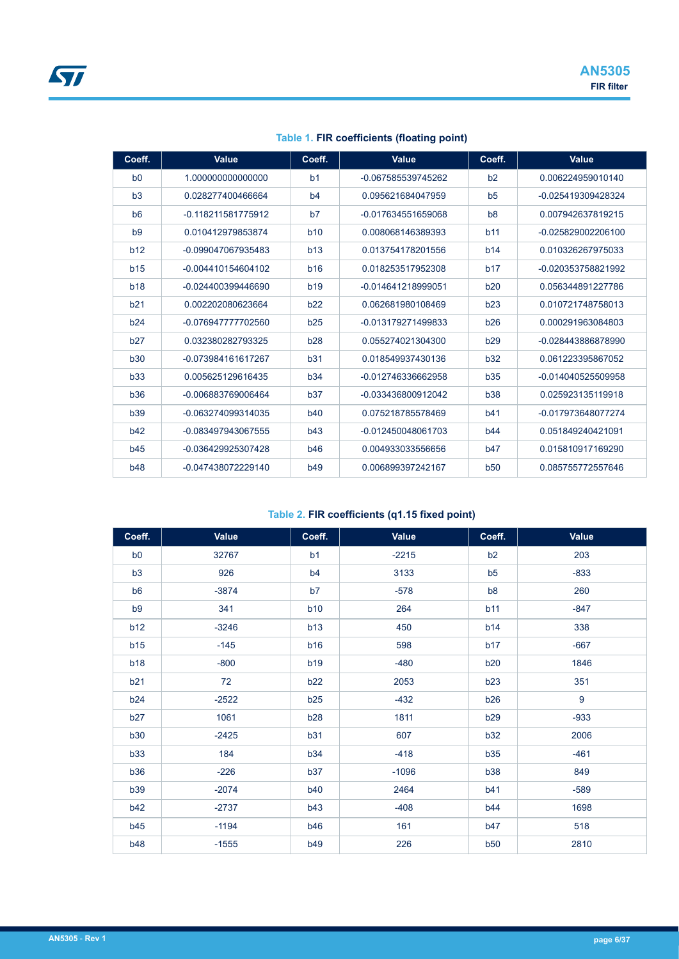<span id="page-5-0"></span>

| Coeff.          | Value              | Coeff.         | Value              | Coeff.         | <b>Value</b>       |
|-----------------|--------------------|----------------|--------------------|----------------|--------------------|
| b <sub>0</sub>  | 1.000000000000000  | b <sub>1</sub> | -0.067585539745262 | b2             | 0.006224959010140  |
| b3              | 0.028277400466664  | b4             | 0.095621684047959  | b <sub>5</sub> | -0.025419309428324 |
| b <sub>6</sub>  | -0.118211581775912 | b7             | -0.017634551659068 | b <sub>8</sub> | 0.007942637819215  |
| b <sub>9</sub>  | 0.010412979853874  | <b>b10</b>     | 0.008068146389393  | b11            | -0.025829002206100 |
| b12             | -0.099047067935483 | b13            | 0.013754178201556  | b14            | 0.010326267975033  |
| b <sub>15</sub> | -0.004410154604102 | <b>b16</b>     | 0.018253517952308  | b17            | -0.020353758821992 |
| <b>b18</b>      | -0.024400399446690 | <b>b19</b>     | -0.014641218999051 | b20            | 0.056344891227786  |
| b21             | 0.002202080623664  | b22            | 0.062681980108469  | b23            | 0.010721748758013  |
| b24             | -0.076947777702560 | b25            | -0.013179271499833 | b26            | 0.000291963084803  |
| b27             | 0.032380282793325  | <b>b28</b>     | 0.055274021304300  | b29            | -0.028443886878990 |
| <b>b30</b>      | -0.073984161617267 | b31            | 0.018549937430136  | b32            | 0.061223395867052  |
| b33             | 0.005625129616435  | b34            | -0.012746336662958 | b35            | -0.014040525509958 |
| <b>b36</b>      | -0.006883769006464 | b37            | -0.033436800912042 | <b>b38</b>     | 0.025923135119918  |
| <b>b39</b>      | -0.063274099314035 | <b>b40</b>     | 0.075218785578469  | b41            | -0.017973648077274 |
| b42             | -0.083497943067555 | b43            | -0.012450048061703 | b44            | 0.051849240421091  |
| b45             | -0.036429925307428 | <b>b46</b>     | 0.004933033556656  | b47            | 0.015810917169290  |
| <b>b48</b>      | -0.047438072229140 | <b>b49</b>     | 0.006899397242167  | <b>b50</b>     | 0.085755772557646  |

**Table 1. FIR coefficients (floating point)**

## **Table 2. FIR coefficients (q1.15 fixed point)**

| Coeff.         | Value   | Coeff.         | Value   | Coeff.         | <b>Value</b> |
|----------------|---------|----------------|---------|----------------|--------------|
| b <sub>0</sub> | 32767   | b1             | $-2215$ | b2             | 203          |
| b3             | 926     | b <sub>4</sub> | 3133    | b5             | $-833$       |
| b <sub>6</sub> | $-3874$ | b7             | $-578$  | b <sub>8</sub> | 260          |
| b <sub>9</sub> | 341     | <b>b10</b>     | 264     | b11            | $-847$       |
| b12            | $-3246$ | b13            | 450     | b14            | 338          |
| b15            | $-145$  | <b>b16</b>     | 598     | b17            | $-667$       |
| <b>b18</b>     | $-800$  | <b>b19</b>     | $-480$  | b20            | 1846         |
| b21            | 72      | b22            | 2053    | b23            | 351          |
| b24            | $-2522$ | b25            | $-432$  | b26            | 9            |
| <b>b27</b>     | 1061    | <b>b28</b>     | 1811    | <b>b29</b>     | $-933$       |
| <b>b30</b>     | $-2425$ | b31            | 607     | <b>b32</b>     | 2006         |
| <b>b33</b>     | 184     | <b>b34</b>     | $-418$  | b35            | $-461$       |
| <b>b36</b>     | $-226$  | b37            | $-1096$ | <b>b38</b>     | 849          |
| <b>b39</b>     | $-2074$ | <b>b40</b>     | 2464    | b41            | $-589$       |
| b42            | $-2737$ | <b>b43</b>     | $-408$  | <b>b44</b>     | 1698         |
| <b>b45</b>     | $-1194$ | <b>b46</b>     | 161     | b47            | 518          |
| <b>b48</b>     | $-1555$ | b49            | 226     | b50            | 2810         |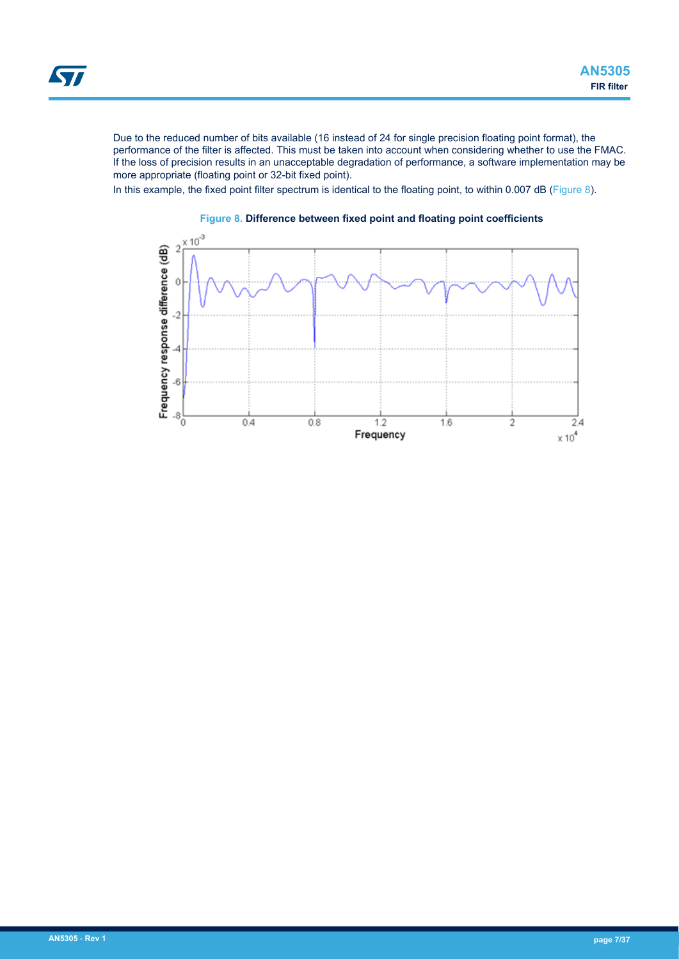<span id="page-6-0"></span>Due to the reduced number of bits available (16 instead of 24 for single precision floating point format), the performance of the filter is affected. This must be taken into account when considering whether to use the FMAC. If the loss of precision results in an unacceptable degradation of performance, a software implementation may be more appropriate (floating point or 32-bit fixed point).

In this example, the fixed point filter spectrum is identical to the floating point, to within 0.007 dB (Figure 8).



### **Figure 8. Difference between fixed point and floating point coefficients**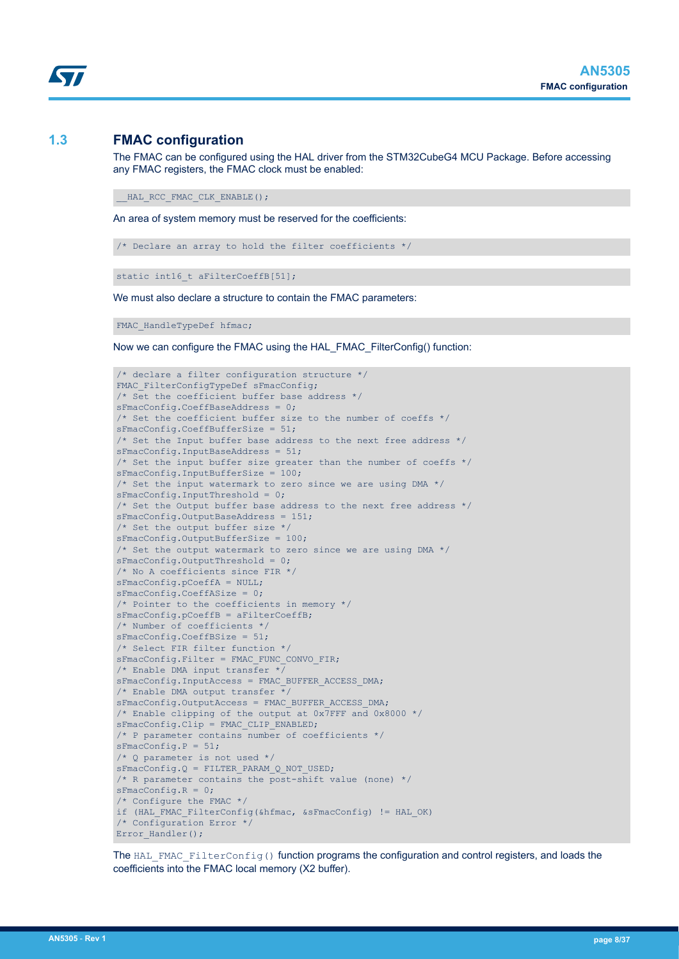## **1.3 FMAC configuration**

<span id="page-7-0"></span>W

The FMAC can be configured using the HAL driver from the STM32CubeG4 MCU Package. Before accessing any FMAC registers, the FMAC clock must be enabled:

HAL RCC FMAC CLK ENABLE();

An area of system memory must be reserved for the coefficients:

```
/* Declare an array to hold the filter coefficients */
```
static int16 t aFilterCoeffB[51];

We must also declare a structure to contain the FMAC parameters:

FMAC HandleTypeDef hfmac;

Now we can configure the FMAC using the HAL\_FMAC\_FilterConfig() function:

```
/* declare a filter configuration structure */
FMAC FilterConfigTypeDef sFmacConfig;
/* Set the coefficient buffer base address */
sFmacConfig.CoeffBaseAddress = 0;
/* Set the coefficient buffer size to the number of coeffs */sFmacConfig.CoeffBufferSize = 51;
/* Set the Input buffer base address to the next free address */
sFmacConfig.InputBaseAddress = 51;
/* Set the input buffer size greater than the number of coeffs */
sFmacConfig.InputBufferSize = 100;
/* Set the input watermark to zero since we are using DMA */
sFmacConfig.InputThreshold = 0;
/* Set the Output buffer base address to the next free address */sFmacConfig.OutputBaseAddress = 151;
/* Set the output buffer size */
sFmacConfig.OutputBufferSize = 100;
/* Set the output watermark to zero since we are using DMA */
sFmacConfig.OutputThreshold = 0;
/* No A coefficients since FIR */
sFmacConfig.pCoeffA = NULL;
sFmacConfig.CoeffASize = 0;
/* Pointer to the coefficients in memory */
sFmacConfig.pCoeffB = aFilterCoeffB;
/* Number of coefficients */
sFmacConfig.CoeffBSize = 51;
/* Select FIR filter function */
sFmacConfig.Filter = FMAC FUNC CONVO FIR;
/* Enable DMA input transfer */
sFmacConfig.InputAccess = FMAC_BUFFER_ACCESS_DMA;
/* Enable DMA output transfer */
sFmacConfig.OutputAccess = FMAC_BUFFER_ACCESS_DMA;
/* Enable clipping of the output at 0x7FFF and 0x8000 */
sFmacConfig.Clip = FMAC_CLIP_ENABLED;
/* P parameter contains number of coefficients */
sFmacConfig.P = 51;
/* Q parameter is not used */
sFmacConfig.Q = FILTER PARAM Q NOT USED;
/* R parameter contains the post-shift value (none) */
sFmacConfig.R = 0;
/* Configure the FMAC */
if (HAL FMAC FilterConfig(&hfmac, &sFmacConfig) != HAL OK)
/* Configuration Error */
Error Handler();
```
The  $HAL$  FMAC FilterConfig() function programs the configuration and control registers, and loads the coefficients into the FMAC local memory (X2 buffer).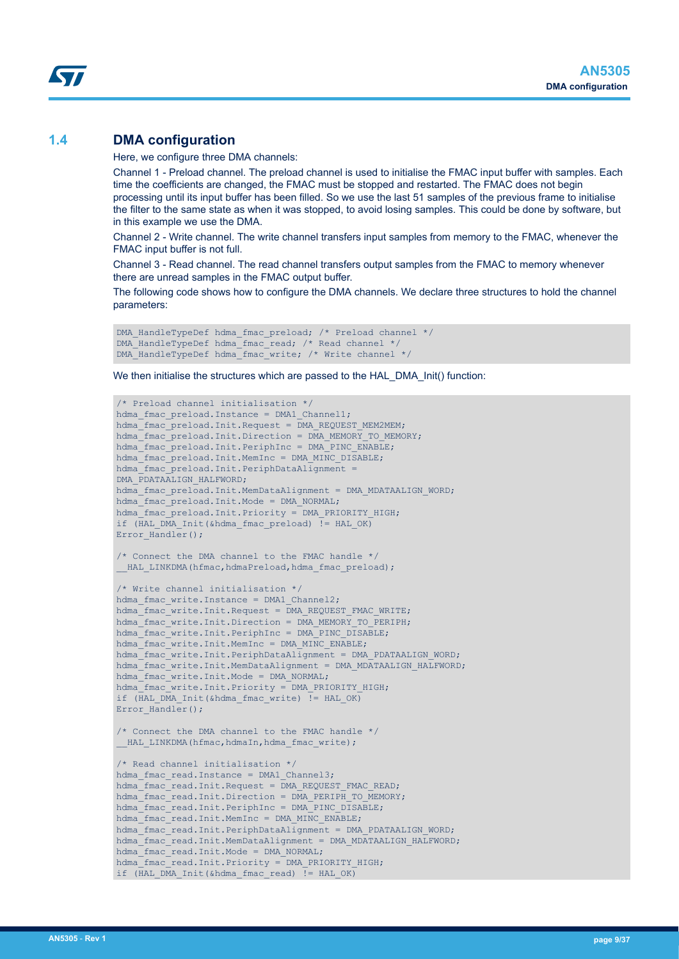## <span id="page-8-0"></span>**1.4 DMA configuration**

Here, we configure three DMA channels:

Channel 1 - Preload channel. The preload channel is used to initialise the FMAC input buffer with samples. Each time the coefficients are changed, the FMAC must be stopped and restarted. The FMAC does not begin processing until its input buffer has been filled. So we use the last 51 samples of the previous frame to initialise the filter to the same state as when it was stopped, to avoid losing samples. This could be done by software, but in this example we use the DMA.

Channel 2 - Write channel. The write channel transfers input samples from memory to the FMAC, whenever the FMAC input buffer is not full.

Channel 3 - Read channel. The read channel transfers output samples from the FMAC to memory whenever there are unread samples in the FMAC output buffer.

The following code shows how to configure the DMA channels. We declare three structures to hold the channel parameters:

```
DMA HandleTypeDef hdma fmac preload; /* Preload channel */
DMA_HandleTypeDef hdma_fmac_read; /* Read channel */
DMA_HandleTypeDef hdma_fmac_write; /* Write channel */
```
We then initialise the structures which are passed to the HAL\_DMA\_Init() function:

```
/* Preload channel initialisation */
hdma fmac preload. Instance = DMA1 Channel1;
hdma_fmac_preload.Init.Request = DMA_REQUEST_MEM2MEM;
hdma_fmac_preload.Init.Direction = DMA_MEMORY_TO_MEMORY;
hdma_fmac_preload.Init.PeriphInc = DMA_PINC_ENABLE;
hdma fmac_preload.Init.MemInc = DMA MINC DISABLE;
hdma fmac preload. Init. PeriphDataAlignment =
DMA_PDATAALIGN_HALFWORD;
hdma fmac preload. Init.MemDataAlignment = DMA MDATAALIGN WORD;
hdma fmac preload. Init. Mode = DMA NORMAL;
hdma fmac_preload.Init.Priority = DMA_PRIORITY_HIGH;
if (HAL_DMA_Init(&hdma_fmac_preload) != HAL_OK)
Error Handler();
/* Connect the DMA channel to the FMAC handle */
 HAL LINKDMA(hfmac,hdmaPreload,hdma fmac preload);
/* Write channel initialisation */
hdma fmac write. Instance = DMA1 Channel2;
hdma fmac write.Init.Request = DMA REQUEST FMAC WRITE;
hdma_fmac_write.Init.Direction = DMA_MEMORY_TO_PERIPH;
hdma fmac_write.Init.PeriphInc = DMA_PINC_DISABLE;
hdmaTfmacwrite.Init.MemInc = DMA MINC ENABLE;
hdma_fmac_write.Init.PeriphDataAlignment = DMA_PDATAALIGN_WORD;
hdma_fmac_write.Init.MemDataAlignment = DMA_MDATAALIGN_HALFWORD;
hdma fmac write.Init.Mode = DMA NORMAL;
hdma_fmac_write.Init.Priority = DMA_PRIORITY_HIGH;
if (HAL_DMA_Init(&hdma_fmac_write) != HAL_OK)
Error Handler();
/* Connect the DMA channel to the FMAC handle */
 HAL LINKDMA(hfmac,hdmaIn,hdma fmac write);
/* Read channel initialisation */
hdma fmac read.Instance = DMA1 Channel3;
hdma_fmac_read.Init.Request = DMA_REQUEST_FMAC_READ;
hdma_fmac_read.Init.Direction = \overline{D}MA_PERIPH_TO_MEMORY;
hdma fmac read. Init. PeriphInc = DMA PINC DISABLE;
hdma_fmac_read.Init.MemInc = DMA_MINC_ENABLE;
hdma fmac read.Init.PeriphDataAlignment = DMA PDATAALIGN WORD;
hdma_fmac_read.Init.MemDataAlignment = DMA_MDATAALIGN_HALFWORD;
hdma_fmac_read.Init.Mode = DMA NORMAL;
hdma fmac read. Init. Priority = DMA PRIORITY HIGH;
if (HAL DMA Init(&hdma fmac read) != HAL OK)
```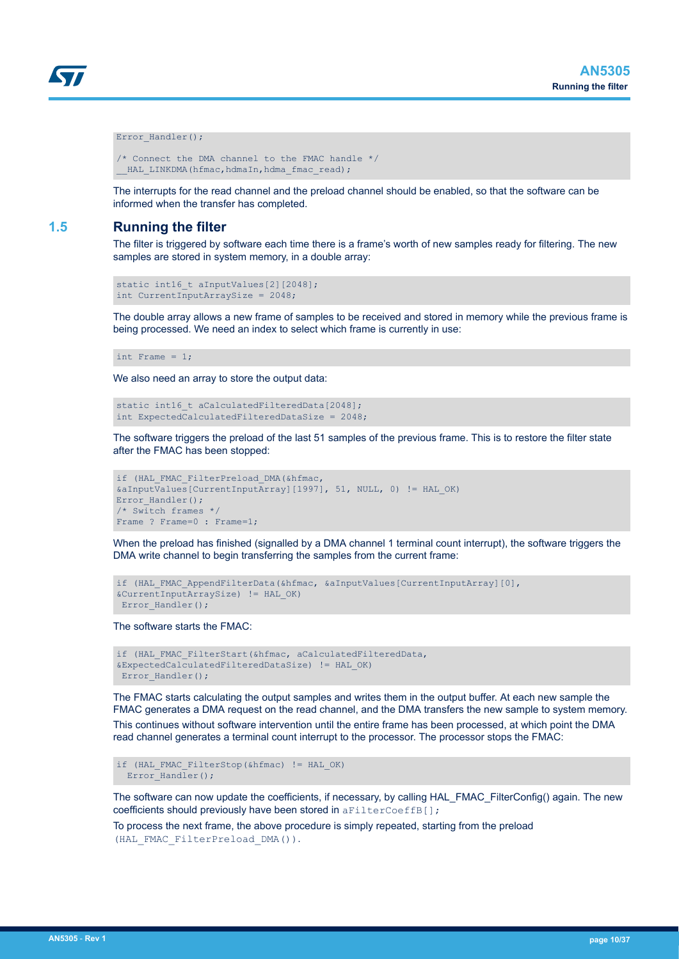```
Error Handler();
```

```
/* Connect the DMA channel to the FMAC handle */
HAL LINKDMA(hfmac,hdmaIn,hdma fmac read);
```
The interrupts for the read channel and the preload channel should be enabled, so that the software can be informed when the transfer has completed.

## **1.5 Running the filter**

The filter is triggered by software each time there is a frame's worth of new samples ready for filtering. The new samples are stored in system memory, in a double array:

```
static int16 t aInputValues[2][2048];
int CurrentInputArraySize = 2048;
```
The double array allows a new frame of samples to be received and stored in memory while the previous frame is being processed. We need an index to select which frame is currently in use:

```
int Frame = 1;
```
We also need an array to store the output data:

```
static int16 t aCalculatedFilteredData[2048];
int ExpectedCalculatedFilteredDataSize = 2048;
```
The software triggers the preload of the last 51 samples of the previous frame. This is to restore the filter state after the FMAC has been stopped:

```
if (HAL FMAC FilterPreload DMA(&hfmac,
&aInputValues[CurrentInputArray][1997], 51, NULL, 0) != HAL_OK)
Error Handler();
/* Switch frames */
Frame ? Frame=0 : Frame=1;
```
When the preload has finished (signalled by a DMA channel 1 terminal count interrupt), the software triggers the DMA write channel to begin transferring the samples from the current frame:

```
if (HAL FMAC AppendFilterData(&hfmac, &aInputValues[CurrentInputArray][0],
&CurrentInputArraySize) != HAL_OK)
Error Handler();
```
The software starts the FMAC:

```
if (HAL_FMAC_FilterStart(&hfmac, aCalculatedFilteredData,
&ExpectedCalculatedFilteredDataSize) != HAL_OK)
Error Handler();
```
The FMAC starts calculating the output samples and writes them in the output buffer. At each new sample the FMAC generates a DMA request on the read channel, and the DMA transfers the new sample to system memory. This continues without software intervention until the entire frame has been processed, at which point the DMA read channel generates a terminal count interrupt to the processor. The processor stops the FMAC:

if (HAL\_FMAC\_FilterStop(&hfmac) != HAL\_OK) Error Handler();

The software can now update the coefficients, if necessary, by calling HAL\_FMAC\_FilterConfig() again. The new coefficients should previously have been stored in aFilterCoeffB[];

To process the next frame, the above procedure is simply repeated, starting from the preload (HAL\_FMAC\_FilterPreload\_DMA()).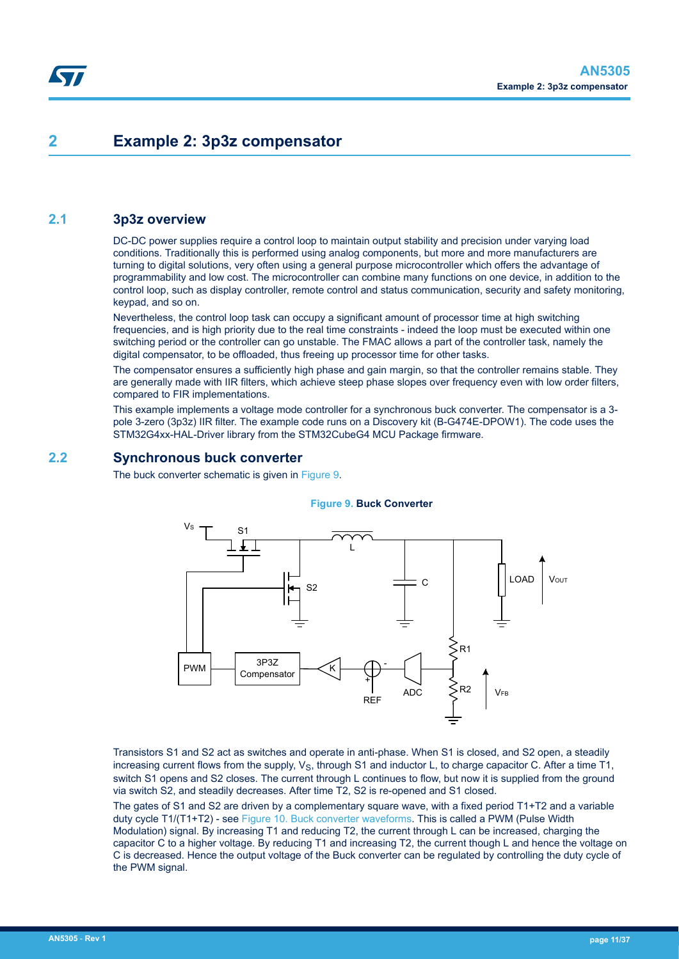## <span id="page-10-0"></span>**2 Example 2: 3p3z compensator**

## **2.1 3p3z overview**

DC-DC power supplies require a control loop to maintain output stability and precision under varying load conditions. Traditionally this is performed using analog components, but more and more manufacturers are turning to digital solutions, very often using a general purpose microcontroller which offers the advantage of programmability and low cost. The microcontroller can combine many functions on one device, in addition to the control loop, such as display controller, remote control and status communication, security and safety monitoring, keypad, and so on.

Nevertheless, the control loop task can occupy a significant amount of processor time at high switching frequencies, and is high priority due to the real time constraints - indeed the loop must be executed within one switching period or the controller can go unstable. The FMAC allows a part of the controller task, namely the digital compensator, to be offloaded, thus freeing up processor time for other tasks.

The compensator ensures a sufficiently high phase and gain margin, so that the controller remains stable. They are generally made with IIR filters, which achieve steep phase slopes over frequency even with low order filters, compared to FIR implementations.

This example implements a voltage mode controller for a synchronous buck converter. The compensator is a 3 pole 3-zero (3p3z) IIR filter. The example code runs on a Discovery kit (B-G474E-DPOW1). The code uses the STM32G4xx-HAL-Driver library from the STM32CubeG4 MCU Package firmware.

## **2.2 Synchronous buck converter**

The buck converter schematic is given in Figure 9.

#### **Figure 9. Buck Converter**



Transistors S1 and S2 act as switches and operate in anti-phase. When S1 is closed, and S2 open, a steadily increasing current flows from the supply,  $V_S$ , through S1 and inductor L, to charge capacitor C. After a time T1, switch S1 opens and S2 closes. The current through L continues to flow, but now it is supplied from the ground via switch S2, and steadily decreases. After time T2, S2 is re-opened and S1 closed.

The gates of S1 and S2 are driven by a complementary square wave, with a fixed period T1+T2 and a variable duty cycle T1/(T1+T2) - see [Figure 10. Buck converter waveforms](#page-11-0). This is called a PWM (Pulse Width Modulation) signal. By increasing T1 and reducing T2, the current through L can be increased, charging the capacitor C to a higher voltage. By reducing T1 and increasing T2, the current though L and hence the voltage on C is decreased. Hence the output voltage of the Buck converter can be regulated by controlling the duty cycle of the PWM signal.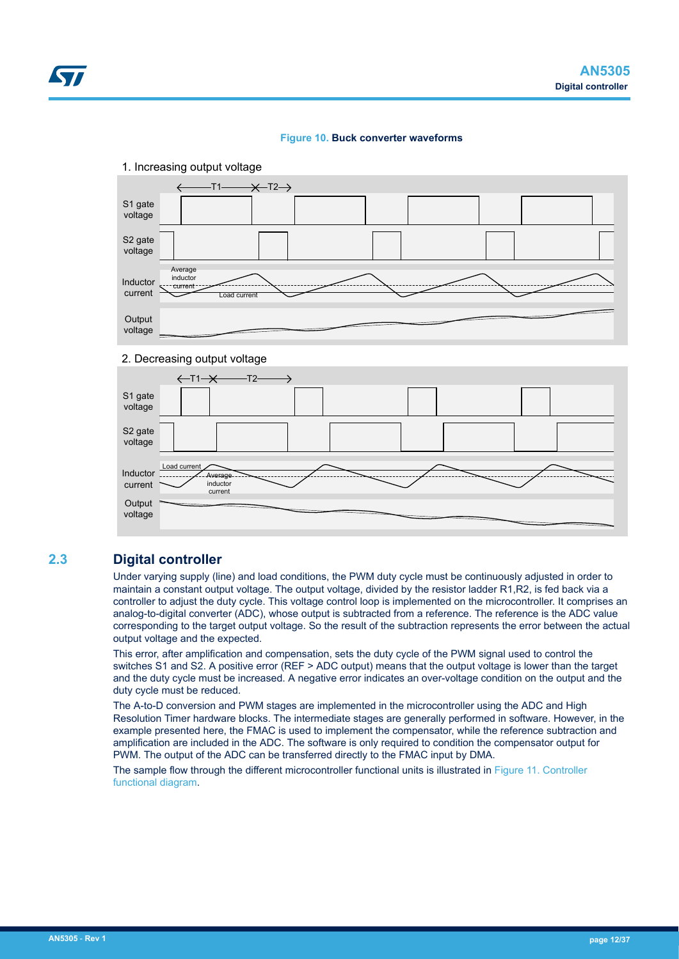



#### 2. Decreasing output voltage



## **2.3 Digital controller**

<span id="page-11-0"></span>57

Under varying supply (line) and load conditions, the PWM duty cycle must be continuously adjusted in order to maintain a constant output voltage. The output voltage, divided by the resistor ladder R1,R2, is fed back via a controller to adjust the duty cycle. This voltage control loop is implemented on the microcontroller. It comprises an analog-to-digital converter (ADC), whose output is subtracted from a reference. The reference is the ADC value corresponding to the target output voltage. So the result of the subtraction represents the error between the actual output voltage and the expected.

This error, after amplification and compensation, sets the duty cycle of the PWM signal used to control the switches S1 and S2. A positive error (REF > ADC output) means that the output voltage is lower than the target and the duty cycle must be increased. A negative error indicates an over-voltage condition on the output and the duty cycle must be reduced.

The A-to-D conversion and PWM stages are implemented in the microcontroller using the ADC and High Resolution Timer hardware blocks. The intermediate stages are generally performed in software. However, in the example presented here, the FMAC is used to implement the compensator, while the reference subtraction and amplification are included in the ADC. The software is only required to condition the compensator output for PWM. The output of the ADC can be transferred directly to the FMAC input by DMA.

The sample flow through the different microcontroller functional units is illustrated in [Figure 11. Controller](#page-12-0) [functional diagram.](#page-12-0)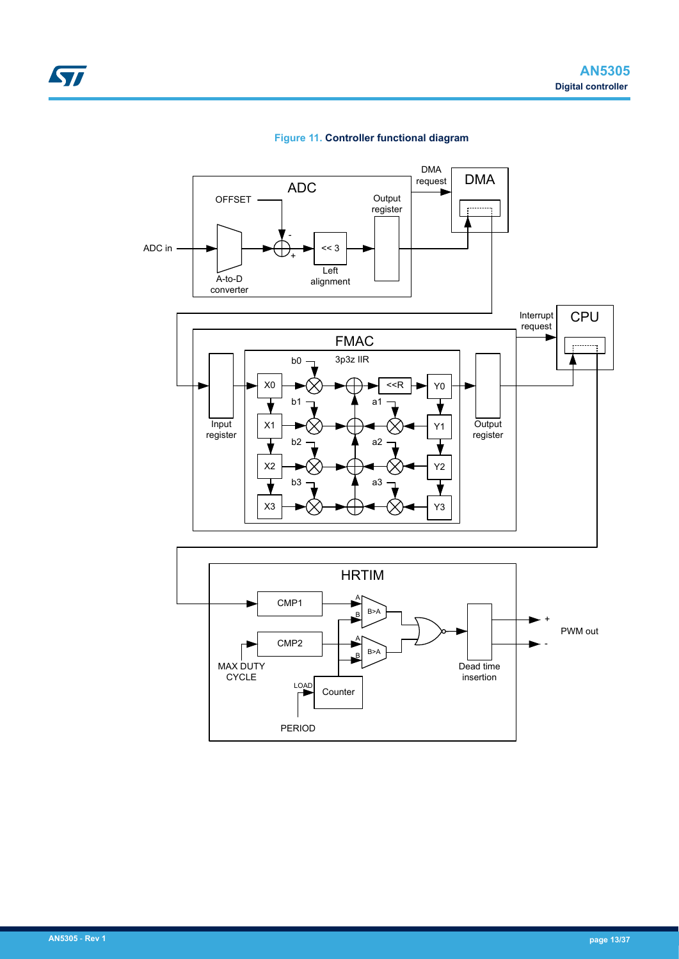<span id="page-12-0"></span>

### **Figure 11. Controller functional diagram**

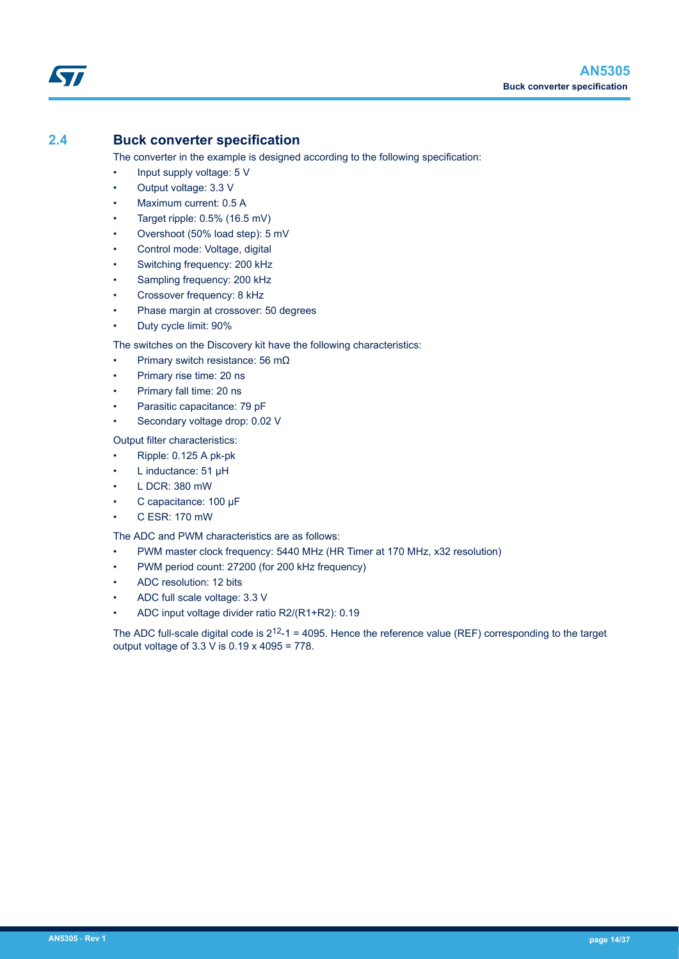## <span id="page-13-0"></span>**2.4 Buck converter specification**

The converter in the example is designed according to the following specification:

- Input supply voltage: 5 V
- Output voltage: 3.3 V
- Maximum current: 0.5 A
- Target ripple: 0.5% (16.5 mV)
- Overshoot (50% load step): 5 mV
- Control mode: Voltage, digital
- Switching frequency: 200 kHz
- Sampling frequency: 200 kHz
- Crossover frequency: 8 kHz
- Phase margin at crossover: 50 degrees
- Duty cycle limit: 90%

The switches on the Discovery kit have the following characteristics:

- Primary switch resistance: 56 mΩ
- Primary rise time: 20 ns
- Primary fall time: 20 ns
- Parasitic capacitance: 79 pF
- Secondary voltage drop: 0.02 V

Output filter characteristics:

- Ripple: 0.125 A pk-pk
- L inductance: 51 µH
- L DCR: 380 mW
- C capacitance: 100 µF
- C ESR: 170 mW

#### The ADC and PWM characteristics are as follows:

- PWM master clock frequency: 5440 MHz (HR Timer at 170 MHz, x32 resolution)
- PWM period count: 27200 (for 200 kHz frequency)
- ADC resolution: 12 bits
- ADC full scale voltage: 3.3 V
- ADC input voltage divider ratio R2/(R1+R2): 0.19

The ADC full-scale digital code is  $2^{12}$ -1 = 4095. Hence the reference value (REF) corresponding to the target output voltage of 3.3  $\overline{V}$  is 0.19 x 4095 = 778.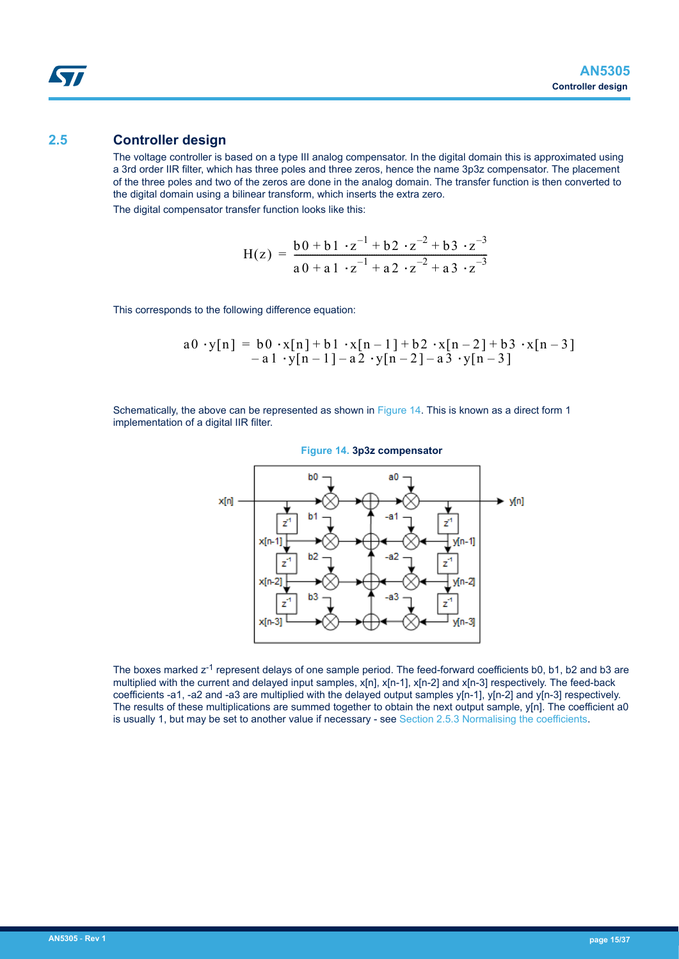## <span id="page-14-0"></span>**2.5 Controller design**

The voltage controller is based on a type III analog compensator. In the digital domain this is approximated using a 3rd order IIR filter, which has three poles and three zeros, hence the name 3p3z compensator. The placement of the three poles and two of the zeros are done in the analog domain. The transfer function is then converted to the digital domain using a bilinear transform, which inserts the extra zero.

The digital compensator transfer function looks like this:

$$
H(z) = \frac{b0 + b1 \cdot z^{-1} + b2 \cdot z^{-2} + b3 \cdot z^{-3}}{a0 + a1 \cdot z^{-1} + a2 \cdot z^{-2} + a3 \cdot z^{-3}}
$$

This corresponds to the following difference equation:

$$
a0 \cdot y[n] = b0 \cdot x[n] + b1 \cdot x[n-1] + b2 \cdot x[n-2] + b3 \cdot x[n-3] - a1 \cdot y[n-1] - a2 \cdot y[n-2] - a3 \cdot y[n-3]
$$

Schematically, the above can be represented as shown in Figure 14. This is known as a direct form 1 implementation of a digital IIR filter.



**Figure 14. 3p3z compensator**

The boxes marked  $z^{-1}$  represent delays of one sample period. The feed-forward coefficients b0, b1, b2 and b3 are multiplied with the current and delayed input samples, x[n], x[n-1], x[n-2] and x[n-3] respectively. The feed-back coefficients -a1, -a2 and -a3 are multiplied with the delayed output samples y[n-1], y[n-2] and y[n-3] respectively. The results of these multiplications are summed together to obtain the next output sample, y[n]. The coefficient a0 is usually 1, but may be set to another value if necessary - see [Section 2.5.3 Normalising the coefficients](#page-16-0).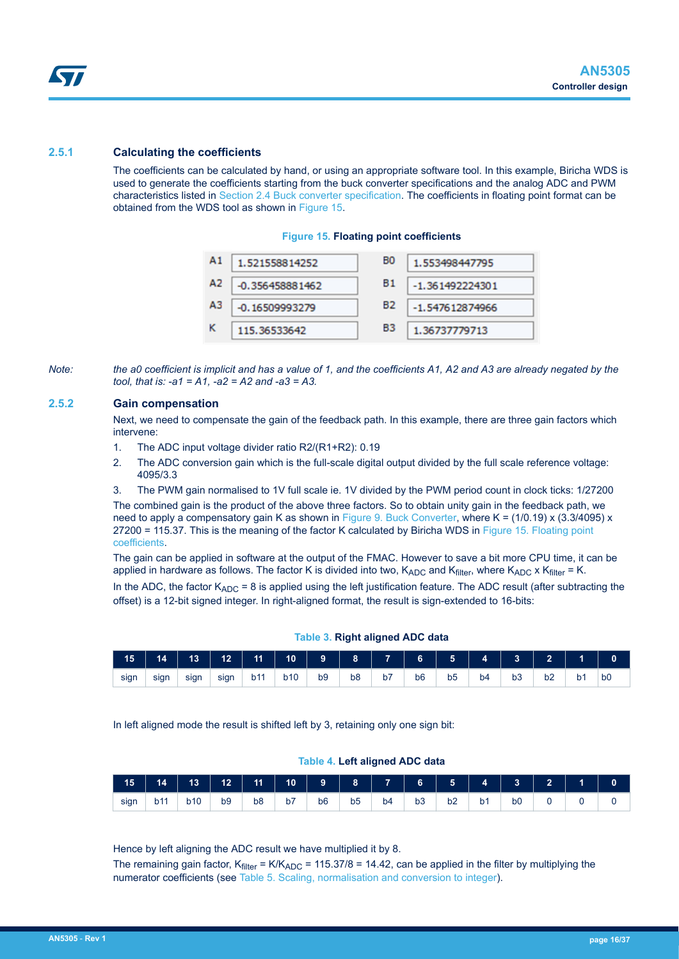#### <span id="page-15-0"></span>**2.5.1 Calculating the coefficients**

The coefficients can be calculated by hand, or using an appropriate software tool. In this example, Biricha WDS is used to generate the coefficients starting from the buck converter specifications and the analog ADC and PWM characteristics listed in [Section 2.4 Buck converter specification.](#page-13-0) The coefficients in floating point format can be obtained from the WDS tool as shown in Figure 15.

#### **Figure 15. Floating point coefficients**



*Note: the a0 coefficient is implicit and has a value of 1, and the coefficients A1, A2 and A3 are already negated by the tool, that is: -a1 = A1, -a2 = A2 and -a3 = A3.*

#### **2.5.2 Gain compensation**

Next, we need to compensate the gain of the feedback path. In this example, there are three gain factors which intervene:

- 1. The ADC input voltage divider ratio R2/(R1+R2): 0.19
- 2. The ADC conversion gain which is the full-scale digital output divided by the full scale reference voltage: 4095/3.3
- 3. The PWM gain normalised to 1V full scale ie. 1V divided by the PWM period count in clock ticks: 1/27200

The combined gain is the product of the above three factors. So to obtain unity gain in the feedback path, we need to apply a compensatory gain K as shown in [Figure 9. Buck Converter](#page-10-0), where K = (1/0.19) x (3.3/4095) x 27200 = 115.37. This is the meaning of the factor K calculated by Biricha WDS in Figure 15. Floating point coefficients.

The gain can be applied in software at the output of the FMAC. However to save a bit more CPU time, it can be applied in hardware as follows. The factor K is divided into two,  $K_{ADC}$  and  $K_{filter}$ , where  $K_{ADC}$  x  $K_{filter}$  = K.

In the ADC, the factor  $K_{ADC} = 8$  is applied using the left justification feature. The ADC result (after subtracting the offset) is a 12-bit signed integer. In right-aligned format, the result is sign-extended to 16-bits:

| 15   | 14   | 13   | 12   |     | <b>1</b> 11 10 9 8 7 6 5 4 |                |                |    |                |                |    |    | $\begin{array}{ccc} \text{ } & \text{ } & \text{ } \end{array}$ |    |                |
|------|------|------|------|-----|----------------------------|----------------|----------------|----|----------------|----------------|----|----|-----------------------------------------------------------------|----|----------------|
| sign | sign | sign | sign | b11 | b10                        | b <sub>9</sub> | b <sub>8</sub> | b7 | b <sub>6</sub> | b <sub>5</sub> | b4 | b3 | b <sub>2</sub>                                                  | b1 | b <sub>0</sub> |

**Table 3. Right aligned ADC data**

In left aligned mode the result is shifted left by 3, retaining only one sign bit:

#### **Table 4. Left aligned ADC data**

| $\begin{array}{ c c c c c } \hline \textbf{15} & \textbf{14} \end{array}$ |     |     |                |                |    |                |                |    |    |    |                |                | $13$   $12$   $11$   $10$   $9$   $8$   $7$   $6$   $5$   $4$   $3$   $2$ |  |
|---------------------------------------------------------------------------|-----|-----|----------------|----------------|----|----------------|----------------|----|----|----|----------------|----------------|---------------------------------------------------------------------------|--|
| sign                                                                      | b11 | b10 | b <sub>9</sub> | b <sub>8</sub> | b7 | b <sub>6</sub> | b <sub>5</sub> | b4 | b3 | b2 | b <sub>1</sub> | b <sub>0</sub> |                                                                           |  |

Hence by left aligning the ADC result we have multiplied it by 8.

The remaining gain factor,  $K_{filter} = K/K_{ADC} = 115.37/8 = 14.42$ , can be applied in the filter by multiplying the numerator coefficients (see [Table 5. Scaling, normalisation and conversion to integer\)](#page-17-0).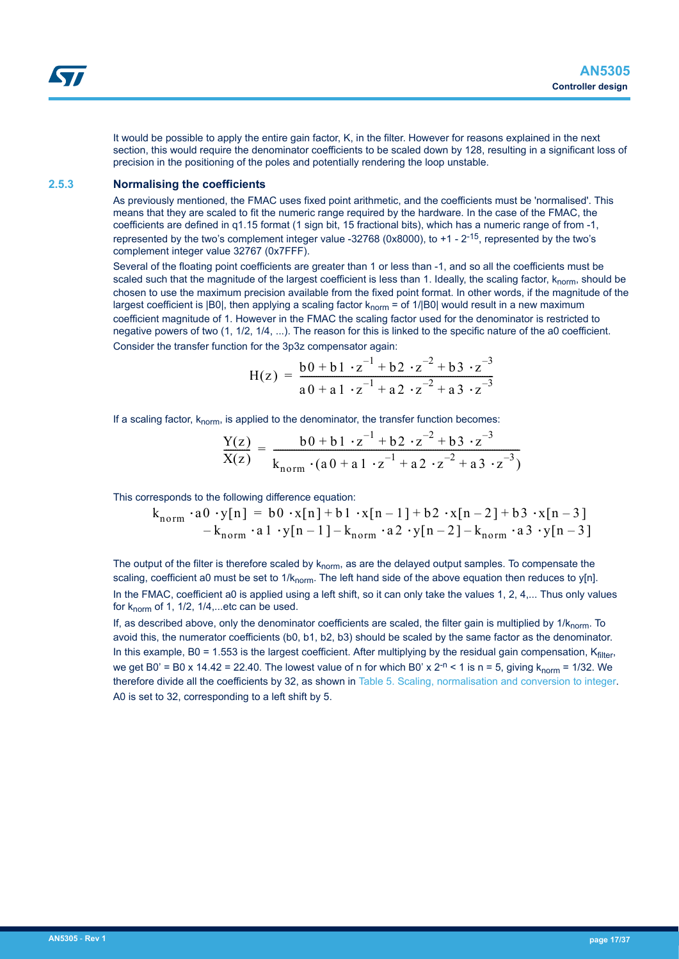<span id="page-16-0"></span>It would be possible to apply the entire gain factor, K, in the filter. However for reasons explained in the next section, this would require the denominator coefficients to be scaled down by 128, resulting in a significant loss of precision in the positioning of the poles and potentially rendering the loop unstable.

#### **2.5.3 Normalising the coefficients**

As previously mentioned, the FMAC uses fixed point arithmetic, and the coefficients must be 'normalised'. This means that they are scaled to fit the numeric range required by the hardware. In the case of the FMAC, the coefficients are defined in q1.15 format (1 sign bit, 15 fractional bits), which has a numeric range of from -1, represented by the two's complement integer value -32768 (0x8000), to  $+1$  -  $2^{-15}$ , represented by the two's complement integer value 32767 (0x7FFF).

Several of the floating point coefficients are greater than 1 or less than -1, and so all the coefficients must be scaled such that the magnitude of the largest coefficient is less than 1. Ideally, the scaling factor, k<sub>norm</sub>, should be chosen to use the maximum precision available from the fixed point format. In other words, if the magnitude of the largest coefficient is  $|B0|$ , then applying a scaling factor  $k_{norm} =$  of 1/ $|B0|$  would result in a new maximum coefficient magnitude of 1. However in the FMAC the scaling factor used for the denominator is restricted to negative powers of two (1, 1/2, 1/4, ...). The reason for this is linked to the specific nature of the a0 coefficient. Consider the transfer function for the 3p3z compensator again:

$$
H(z) = \frac{b0 + b1 \cdot z^{-1} + b2 \cdot z^{-2} + b3 \cdot z^{-3}}{a0 + a1 \cdot z^{-1} + a2 \cdot z^{-2} + a3 \cdot z^{-3}}
$$

If a scaling factor,  $k_{norm}$ , is applied to the denominator, the transfer function becomes:

$$
\frac{Y(z)}{X(z)} = \frac{b0 + b1 \cdot z^{-1} + b2 \cdot z^{-2} + b3 \cdot z^{-3}}{k_{norm} \cdot (a0 + a1 \cdot z^{-1} + a2 \cdot z^{-2} + a3 \cdot z^{-3})}
$$

This corresponds to the following difference equation:

$$
k_{norm} \cdot a0 \cdot y[n] = b0 \cdot x[n] + b1 \cdot x[n-1] + b2 \cdot x[n-2] + b3 \cdot x[n-3] - k_{norm} \cdot a1 \cdot y[n-1] - k_{norm} \cdot a2 \cdot y[n-2] - k_{norm} \cdot a3 \cdot y[n-3]
$$

The output of the filter is therefore scaled by  $k_{norm}$ , as are the delayed output samples. To compensate the scaling, coefficient a0 must be set to  $1/k_{norm}$ . The left hand side of the above equation then reduces to y[n]. In the FMAC, coefficient a0 is applied using a left shift, so it can only take the values 1, 2, 4,... Thus only values for  $k_{norm}$  of 1, 1/2, 1/4,...etc can be used.

If, as described above, only the denominator coefficients are scaled, the filter gain is multiplied by  $1/k_{norm}$ . To avoid this, the numerator coefficients (b0, b1, b2, b3) should be scaled by the same factor as the denominator. In this example, B0 = 1.553 is the largest coefficient. After multiplying by the residual gain compensation,  $K_{filter}$ , we get B0' = B0 x 14.42 = 22.40. The lowest value of n for which B0' x  $2^{-n}$  < 1 is n = 5, giving  $k_{norm}$  = 1/32. We therefore divide all the coefficients by 32, as shown in [Table 5. Scaling, normalisation and conversion to integer](#page-17-0). A0 is set to 32, corresponding to a left shift by 5.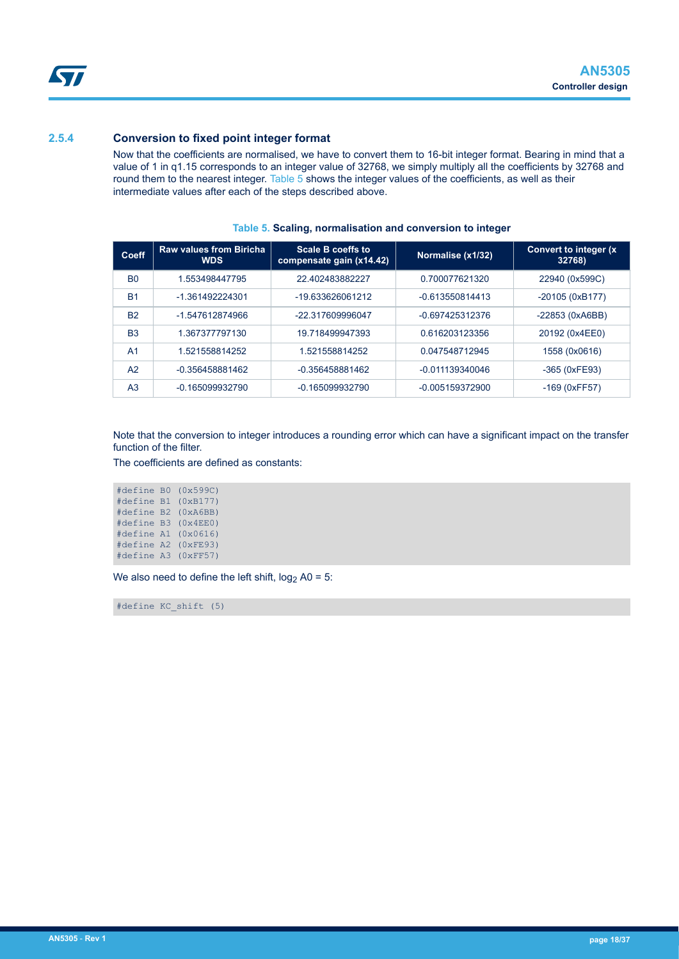### <span id="page-17-0"></span>**2.5.4 Conversion to fixed point integer format**

Now that the coefficients are normalised, we have to convert them to 16-bit integer format. Bearing in mind that a value of 1 in q1.15 corresponds to an integer value of 32768, we simply multiply all the coefficients by 32768 and round them to the nearest integer. Table 5 shows the integer values of the coefficients, as well as their intermediate values after each of the steps described above.

| Coeff          | <b>Raw values from Biricha</b><br><b>WDS</b> | Scale B coeffs to<br>compensate gain (x14.42) | Normalise (x1/32) | <b>Convert to integer (x)</b><br>32768) |
|----------------|----------------------------------------------|-----------------------------------------------|-------------------|-----------------------------------------|
| B <sub>0</sub> | 1.553498447795                               | 22.402483882227                               | 0.700077621320    | 22940 (0x599C)                          |
| <b>B1</b>      | -1.361492224301                              | $-19633626061212$                             | $-0.613550814413$ | $-20105(0xB177)$                        |
| <b>B2</b>      | -1.547612874966                              | -22.317609996047                              | -0.697425312376   | -22853 (0xA6BB)                         |
| B <sub>3</sub> | 1.367377797130                               | 19.718499947393                               | 0.616203123356    | 20192 (0x4EE0)                          |
| A <sub>1</sub> | 1.521558814252                               | 1.521558814252                                | 0.047548712945    | 1558 (0x0616)                           |
| A <sub>2</sub> | $-0.356458881462$                            | -0.356458881462                               | $-0.011139340046$ | -365 (0xFE93)                           |
| A <sub>3</sub> | -0.165099932790                              | $-0.165099932790$                             | -0.005159372900   | $-169$ (0xFF57)                         |

#### **Table 5. Scaling, normalisation and conversion to integer**

Note that the conversion to integer introduces a rounding error which can have a significant impact on the transfer function of the filter.

The coefficients are defined as constants:

#define B0 (0x599C) #define B1 (0xB177) #define B2 (0xA6BB) #define B3 (0x4EE0) #define A1 (0x0616) #define A2 (0xFE93) #define A3 (0xFF57)

We also need to define the left shift,  $log<sub>2</sub>$  A0 = 5:

#define KC\_shift (5)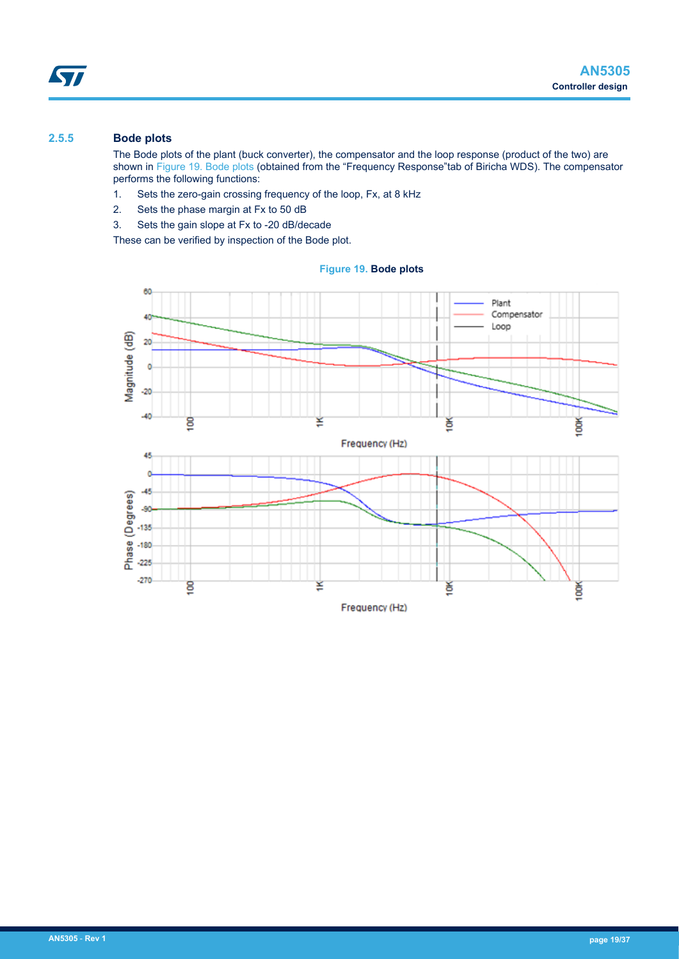## <span id="page-18-0"></span>**2.5.5 Bode plots**

The Bode plots of the plant (buck converter), the compensator and the loop response (product of the two) are shown in Figure 19. Bode plots (obtained from the "Frequency Response"tab of Biricha WDS). The compensator performs the following functions:

- 1. Sets the zero-gain crossing frequency of the loop, Fx, at 8 kHz
- 2. Sets the phase margin at Fx to 50 dB
- 3. Sets the gain slope at Fx to -20 dB/decade

These can be verified by inspection of the Bode plot.

**Figure 19. Bode plots**

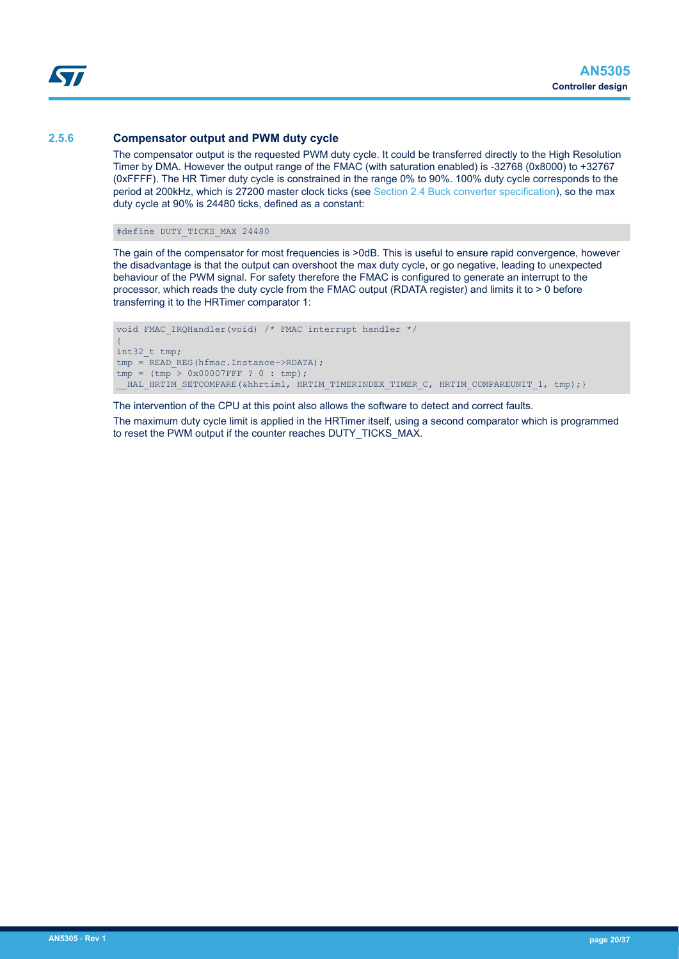<span id="page-19-0"></span>S7

#### **2.5.6 Compensator output and PWM duty cycle**

The compensator output is the requested PWM duty cycle. It could be transferred directly to the High Resolution Timer by DMA. However the output range of the FMAC (with saturation enabled) is -32768 (0x8000) to +32767 (0xFFFF). The HR Timer duty cycle is constrained in the range 0% to 90%. 100% duty cycle corresponds to the period at 200kHz, which is 27200 master clock ticks (see [Section 2.4 Buck converter specification](#page-13-0)), so the max duty cycle at 90% is 24480 ticks, defined as a constant:

#define DUTY\_TICKS\_MAX 24480

The gain of the compensator for most frequencies is >0dB. This is useful to ensure rapid convergence, however the disadvantage is that the output can overshoot the max duty cycle, or go negative, leading to unexpected behaviour of the PWM signal. For safety therefore the FMAC is configured to generate an interrupt to the processor, which reads the duty cycle from the FMAC output (RDATA register) and limits it to > 0 before transferring it to the HRTimer comparator 1:

```
void FMAC_IRQHandler(void) /* FMAC interrupt handler */
{
int32_t tmp;
tmp = READ REG(hfmac.Instance->RDATA);
tmp = (tmp > 0x00007FFF ? 0 : tmp);HAL HRTIM SETCOMPARE(&hhrtim1, HRTIM TIMERINDEX TIMER C, HRTIM COMPAREUNIT 1, tmp);}
```
The intervention of the CPU at this point also allows the software to detect and correct faults.

The maximum duty cycle limit is applied in the HRTimer itself, using a second comparator which is programmed to reset the PWM output if the counter reaches DUTY\_TICKS\_MAX.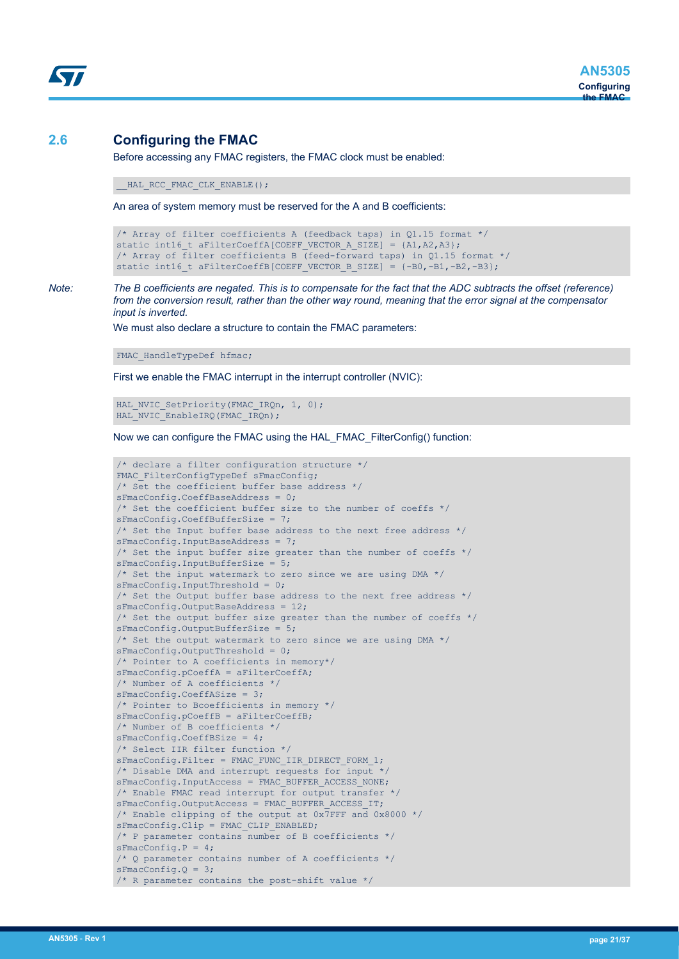## <span id="page-20-0"></span>**2.6 Configuring the FMAC**

Before accessing any FMAC registers, the FMAC clock must be enabled:

HAL RCC FMAC CLK ENABLE();

An area of system memory must be reserved for the A and B coefficients:

```
/* Array of filter coefficients A (feedback taps) in Q1.15 format */
static int16 t aFilterCoeffA[COEFF VECTOR A SIZE] = {A1,A2,A3};
/* Array of filter coefficients B (feed-forward taps) in Q1.15 format */
static int16_t aFilterCoeffB[COEFF_VECTOR_B_SIZE] = {-B0,-B1,-B2,-B3};
```
*Note: The B coefficients are negated. This is to compensate for the fact that the ADC subtracts the offset (reference) from the conversion result, rather than the other way round, meaning that the error signal at the compensator input is inverted.*

We must also declare a structure to contain the FMAC parameters:

FMAC HandleTypeDef hfmac;

First we enable the FMAC interrupt in the interrupt controller (NVIC):

HAL NVIC SetPriority(FMAC IRQn, 1, 0); HAL\_NVIC\_EnableIRQ(FMAC\_IRQn);

Now we can configure the FMAC using the HAL\_FMAC\_FilterConfig() function:

```
/* declare a filter configuration structure */
FMAC FilterConfigTypeDef sFmacConfig;
/* Set the coefficient buffer base address */
sFmacConfig.CoeffBaseAddress = 0;
/* Set the coefficient buffer size to the number of coeffs */sFmacConfig.CoeffBufferSize = 7;
/* Set the Input buffer base address to the next free address */
sFmacConfig.InputBaseAddress = 7;
/* Set the input buffer size greater than the number of coeffs */sFmacConfig.InputBufferSize = 5;
/* Set the input watermark to zero since we are using DMA */
sFmacConfig.InputThreshold = 0;
/* Set the Output buffer base address to the next free address */
sFmacConfig.OutputBaseAddress = 12;
/* Set the output buffer size greater than the number of coeffs */sFmacConfig.OutputBufferSize = 5;
'* Set the output watermark to zero since we are using DMA */sFmacConfig.OutputThreshold = 0;
/* Pointer to A coefficients in memory*/
sFmacConfig.pCoeffA = aFilterCoeffA;
/* Number of A coefficients */
sFmacConfig.CoeffASize = 3;
/* Pointer to Bcoefficients in memory */
sFmacConfig.pCoeffB = aFilterCoeffB;
/* Number of B coefficients */
sFmacConfig.CoeffBSize = 4;
/* Select IIR filter function */
sFmacConfig.Filter = FMAC FUNC IIR DIRECT FORM 1;
/* Disable DMA and interrupt requests for input */
sFmacConfig.InputAccess = FMAC BUFFER ACCESS NONE;
/* Enable FMAC read interrupt for output transfer */
sFmacConfig.OutputAccess = FMAC_BUFFER_ACCESS_IT;
/* Enable clipping of the output at 0x7FFF and 0x8000 */
sFmacConfig.Clip = FMAC_CLIP_ENABLED;
/* P parameter contains number of B coefficients */
sFmacConfig.P = 4;
/* Q parameter contains number of A coefficients */
sFmacConfig.Q = 3;
/* R parameter contains the post-shift value */
```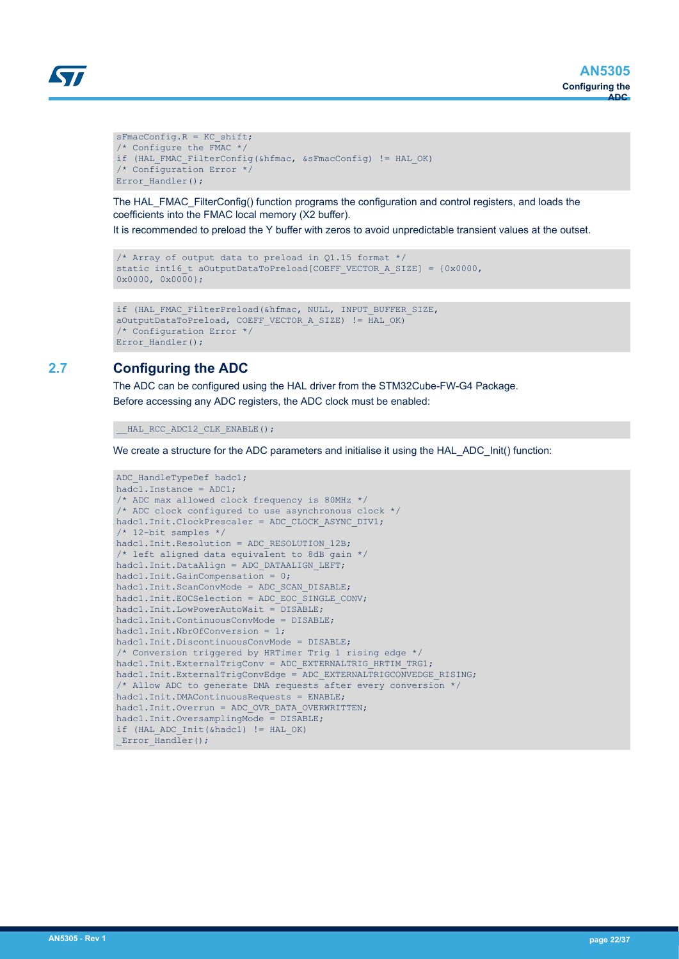```
S77
```

```
sFmacConfig.R = KC_shift;
/* Configure the FMAC */
if (HAL FMAC FilterConfig(&hfmac, &sFmacConfig) != HAL OK)
/* Configuration Error */
Error_Handler();
```
The HAL\_FMAC\_FilterConfig() function programs the configuration and control registers, and loads the coefficients into the FMAC local memory (X2 buffer).

It is recommended to preload the Y buffer with zeros to avoid unpredictable transient values at the outset.

```
/* Array of output data to preload in Q1.15 format */
static int16 t aOutputDataToPreload[COEFF_VECTOR_A_SIZE] = {0x0000,
0 \times 0000, 0 \times 0000};
```

```
if (HAL FMAC FilterPreload(&hfmac, NULL, INPUT BUFFER SIZE,
aOutputDataToPreload, COEFF_VECTOR_A_SIZE) != HAL_OK)
/* Configuration Error */
Error Handler();
```
## **2.7 Configuring the ADC**

The ADC can be configured using the HAL driver from the STM32Cube-FW-G4 Package. Before accessing any ADC registers, the ADC clock must be enabled:

```
HAL RCC ADC12 CLK ENABLE();
```
We create a structure for the ADC parameters and initialise it using the HAL\_ADC\_Init() function:

```
ADC HandleTypeDef hadc1;
hadc1.Instance = ADC1;
/* ADC max allowed clock frequency is 80MHz */
/* ADC clock configured to use asynchronous clock */
hadc1.Init.ClockPrescaler = ADC_CLOCK_ASYNC_DIV1;
/* 12-bit samples */
hadc1.Init.Resolution = ADC_RESOLUTION_12B;
/* left aligned data equivalent to 8dB gain */
hadc1.Init.DataAlign = ADC DATAALIGN LEFT;
hadc1.Init.GainCompensation = 0;
hadc1.Init.ScanConvMode = ADC SCAN DISABLE;
hadc1.Init.EOCSelection = ADC EOC SINGLE CONV;
hadc1.Init.LowPowerAutoWait = DISABLE;
hadc1.Init.ContinuousConvMode = DISABLE;
hadc1.Init.NbrOfConversion = 1;
hadc1.Init.DiscontinuousConvMode = DISABLE;
/* Conversion triggered by HRTimer Trig 1 rising edge */
hadc1.Init.ExternalTrigConv = ADC EXTERNALTRIG HRTIM TRG1;
hadc1.Init.ExternalTrigConvEdge = ADC_EXTERNALTRIGCONVEDGE_RISING;
/* Allow ADC to generate DMA requests after every conversion */
hadc1.Init.DMAContinuousRequests = ENABLE;
hadc1.Init.Overrun = ADC_OVR_DATA_OVERWRITTEN;
hadc1.Init.OversamplingMode = DISABLE;
if (HAL ADC Init(&hadc1) != HAL OK)
Error Handler();
```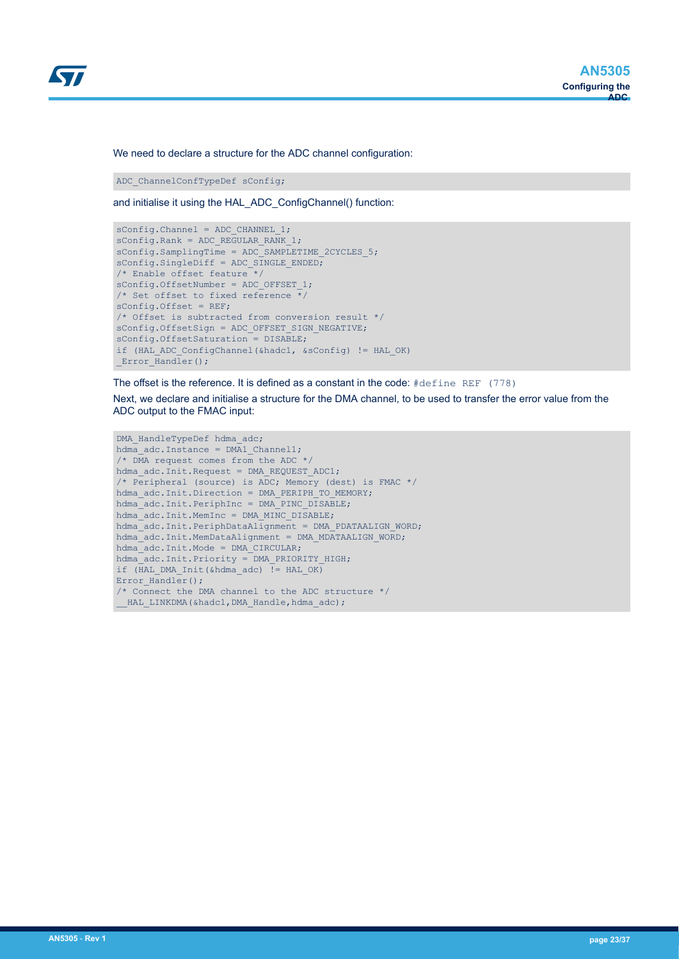

We need to declare a structure for the ADC channel configuration:

ADC\_ChannelConfTypeDef sConfig;

and initialise it using the HAL\_ADC\_ConfigChannel() function:

```
sConfig.Channel = ADC CHANNEL 1;
sConfig.Rank = ADC_REGULAR_RANK_1;
sConfig.SamplingTime = ADC SAMPLETIME 2CYCLES 5;
sConfig.SingleDiff = ADC SINGLE ENDED;
/* Enable offset feature */
sConfig.OffsetNumber = ADC_OFFSET_1;
/* Set offset to fixed reference \overline{\overline{}}/
sConfig.Offset = REF;
/* Offset is subtracted from conversion result */
sConfig.OffsetSign = ADC_OFFSET_SIGN_NEGATIVE;
sConfig.OffsetSaturation = DISABLE;
if (HAL_ADC_ConfigChannel(&hadc1, &sConfig) != HAL_OK)
Error Handler();
```
The offset is the reference. It is defined as a constant in the code: #define REF (778)

Next, we declare and initialise a structure for the DMA channel, to be used to transfer the error value from the ADC output to the FMAC input:

```
DMA HandleTypeDef hdma adc;
hdma_adc.Instance = DMA1 Channel1;
/* DMA request comes from the ADC */
hdma_adc.Init.Request = DMA_REQUEST_ADC1;
/* Peripheral (source) is ADC; Memory (dest) is FMAC */
hdma_adc.Init.Direction = DMA_PERIPH_TO_MEMORY;
hdma_adc.Init.PeriphInc = DMA_PINC_DISABLE;
hdma_adc.Init.MemInc = DMA_MINC_DISABLE;
hdma_adc.Init.PeriphDataAlignment = DMA_PDATAALIGN_WORD;
hdma_adc.Init.MemDataAlignment = DMA_MDATAALIGN_WORD;
hdma_adc.Init.Mode = DMA_CIRCULAR;
hdma_adc.Init.Priority = DMA_PRIORITY_HIGH;
if (HAL DMA Init(&hdma adc) = HAL OK)
Error Handler();
/* Connect the DMA channel to the ADC structure */
 HAL LINKDMA(&hadc1,DMA Handle,hdma adc);
```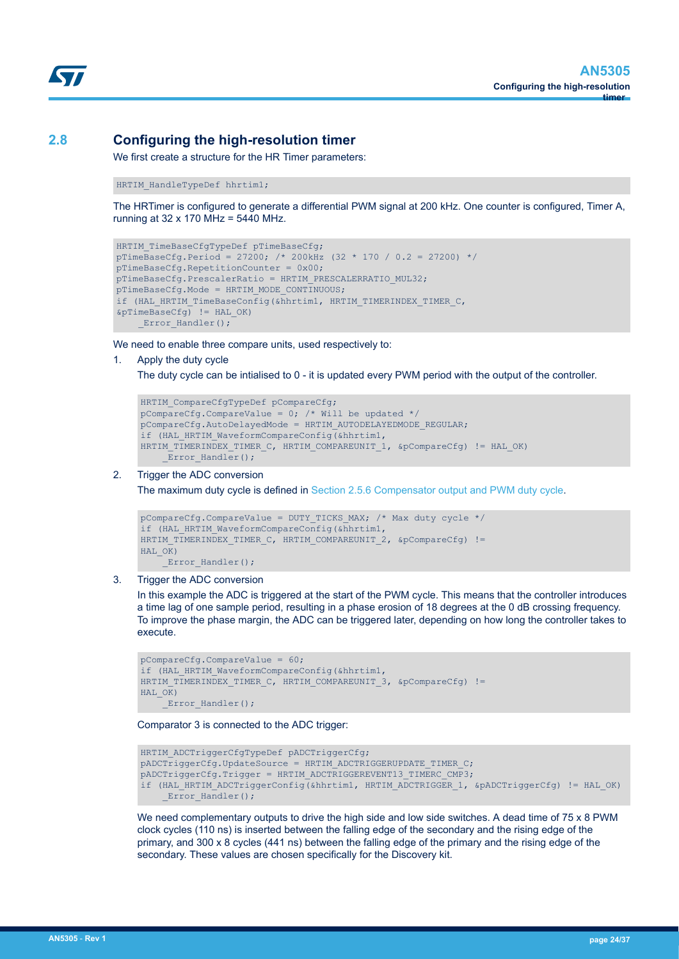<span id="page-23-0"></span>

## **2.8 Configuring the high-resolution timer**

We first create a structure for the HR Timer parameters:

HRTIM HandleTypeDef hhrtim1;

The HRTimer is configured to generate a differential PWM signal at 200 kHz. One counter is configured, Timer A, running at 32 x 170 MHz = 5440 MHz.

```
HRTIM TimeBaseCfgTypeDef pTimeBaseCfg;
pTimeBaseCfg.Period = 27200; /* 200kHz (32 * 170 / 0.2 = 27200) */
pTimeBaseCfg.RepetitionCounter = 0x00;
pTimeBaseCfg.PrescalerRatio = HRTIM_PRESCALERRATIO_MUL32;
pTimeBaseCfg.Mode = HRTIM_MODE_CONTINUOUS;
if (HAL HRTIM TimeBaseConfig(&hhrtim1, HRTIM TIMERINDEX TIMER C,
&pTimeBaseCfg) != HAL_OK)
    Error Handler();
```
We need to enable three compare units, used respectively to:

1. Apply the duty cycle

The duty cycle can be intialised to 0 - it is updated every PWM period with the output of the controller.

```
HRTIM CompareCfgTypeDef pCompareCfg;
pCompareCfg.CompareValue = 0; /* Will be updated */
pCompareCfg.AutoDelayedMode = HRTIM_AUTODELAYEDMODE_REGULAR;
if (HAL HRTIM WaveformCompareConfig(&hhrtim1,
HRTIM TIMERINDEX TIMER C, HRTIM COMPAREUNIT 1, &pCompareCfg) != HAL OK)
    Error Handler();
```
#### 2. Trigger the ADC conversion

The maximum duty cycle is defined in [Section 2.5.6 Compensator output and PWM duty cycle](#page-19-0).

```
pCompareCfg.CompareValue = DUTY_TICKS_MAX; /* Max duty cycle */
if (HAL HRTIM WaveformCompareConfig(&hhrtim1,
HRTIM TIMERINDEX TIMER C, HRTIM COMPAREUNIT 2, &pCompareCfg) !=
HAL OK)
    Error Handler();
```
#### 3. Trigger the ADC conversion

In this example the ADC is triggered at the start of the PWM cycle. This means that the controller introduces a time lag of one sample period, resulting in a phase erosion of 18 degrees at the 0 dB crossing frequency. To improve the phase margin, the ADC can be triggered later, depending on how long the controller takes to execute.

```
pCompareCfg.CompareValue = 60;
if (HAL HRTIM WaveformCompareConfig(&hhrtim1,
HRTIM_TIMERINDEX_TIMER_C, HRTIM_COMPAREUNIT_3, &pCompareCfg) !=
HAL OK)
    Error Handler();
```
Comparator 3 is connected to the ADC trigger:

```
HRTIM ADCTriggerCfgTypeDef pADCTriggerCfg;
pADCTriggerCfg.UpdateSource = HRTIM ADCTRIGGERUPDATE TIMER C;
pADCTriggerCfg.Trigger = HRTIM ADCTRIGGEREVENT13 TIMERC CMP3;
if (HAL HRTIM ADCTriggerConfig(&hhrtim1, HRTIM ADCTRIGGER 1, &pADCTriggerCfg) != HAL OK)
    Error Handler();
```
We need complementary outputs to drive the high side and low side switches. A dead time of 75 x 8 PWM clock cycles (110 ns) is inserted between the falling edge of the secondary and the rising edge of the primary, and 300 x 8 cycles (441 ns) between the falling edge of the primary and the rising edge of the secondary. These values are chosen specifically for the Discovery kit.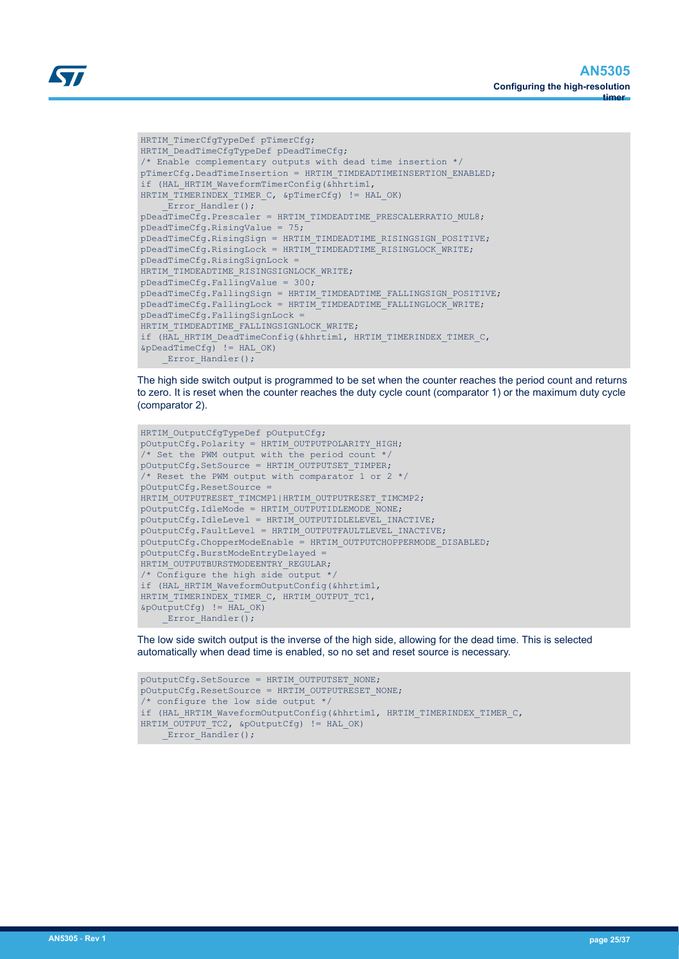```
W
```

```
HRTIM TimerCfgTypeDef pTimerCfg;
HRTIM_DeadTimeCfgTypeDef pDeadTimeCfg;
/* Enable complementary outputs with dead time insertion */
pTimerCfg.DeadTimeInsertion = HRTIM_TIMDEADTIMEINSERTION_ENABLED;
if (HAL_HRTIM_WaveformTimerConfig(&hhrtim1,
HRTIM TIMERINDEX TIMER C, &pTimerCfg) != HAL OK)
    Error Handler();
pDeadTimeCfg.Prescaler = HRTIM TIMDEADTIME PRESCALERRATIO MUL8;
pDeadTimeCfg.RisingValue = 75;
pDeadTimeCfg.RisingSign = HRTIM_TIMDEADTIME_RISINGSIGN_POSITIVE;
pDeadTimeCfg.RisingLock = HRTIM TIMDEADTIME RISINGLOCK WRITE;
pDeadTimeCfg.RisingSignLock =
HRTIM_TIMDEADTIME_RISINGSIGNLOCK_WRITE;
pDeadTimeCfg.FallingValue = 300;
pDeadTimeCfg.FallingSign = HRTIM_TIMDEADTIME_FALLINGSIGN_POSITIVE;
pDeadTimeCfg.FallingLock = HRTIM_TIMDEADTIME_FALLINGLOCK_WRITE;
pDeadTimeCfg.FallingSignLock =
HRTIM_TIMDEADTIME_FALLINGSIGNLOCK_WRITE;
if (HAL HRTIM DeadTimeConfig(&hhrtim1, HRTIM TIMERINDEX TIMER C,
\&\text{pDeadTimeCfg} != HAL OK)
     _Error_Handler();
```
The high side switch output is programmed to be set when the counter reaches the period count and returns to zero. It is reset when the counter reaches the duty cycle count (comparator 1) or the maximum duty cycle (comparator 2).

```
HRTIM OutputCfgTypeDef pOutputCfg;
pOutputCfg.Polarity = HRTIM_OUTPUTPOLARITY_HIGH;
/* Set the PWM output with the period count */
pOutputCfg.SetSource = HRTIM_OUTPUTSET_TIMPER;
/* Reset the PWM output with comparator 1 or 2 */pOutputCfg.ResetSource =
HRTIM_OUTPUTRESET_TIMCMP1|HRTIM_OUTPUTRESET_TIMCMP2;
pOutputCfg.IdleMode = HRTIM_OUTPUTIDLEMODE_NONE;
pOutputCfg.IdleLevel = HRTIM_OUTPUTIDLELEVEL_INACTIVE;
pOutputCfg.FaultLevel = HRTIM_OUTPUTFAULTLEVEL_INACTIVE;
pOutputCfg.ChopperModeEnable = HRTIM_OUTPUTCHOPPERMODE_DISABLED;
pOutputCfg.BurstModeEntryDelayed =
HRTIM_OUTPUTBURSTMODEENTRY_REGULAR;
/* Configure the high side output */
if (HAL HRTIM WaveformOutputConfig(&hhrtim1,
HRTIM_TIMERINDEX_TIMER_C, HRTIM_OUTPUT_TC1,
\&pOutputCfg != HAL OK)
    Error Handler();
```
The low side switch output is the inverse of the high side, allowing for the dead time. This is selected automatically when dead time is enabled, so no set and reset source is necessary.

```
pOutputCfg.SetSource = HRTIM_OUTPUTSET_NONE;
pOutputCfg.ResetSource = HRTIM_OUTPUTRESET_NONE;
/* configure the low side output */
if (HAL HRTIM WaveformOutputConfig(&hhrtim1, HRTIM_TIMERINDEX_TIMER_C,
HRTIM_OUTPUT_TC2, &pOutputCfg) != HAL_OK)
    Error Handler();
```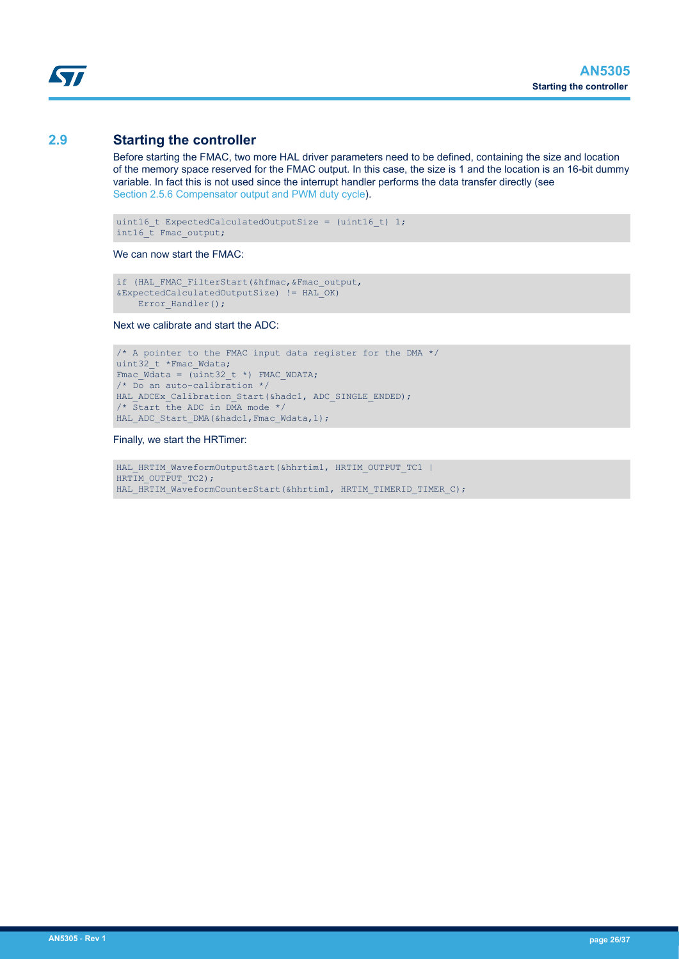## <span id="page-25-0"></span>**2.9 Starting the controller**

Before starting the FMAC, two more HAL driver parameters need to be defined, containing the size and location of the memory space reserved for the FMAC output. In this case, the size is 1 and the location is an 16-bit dummy variable. In fact this is not used since the interrupt handler performs the data transfer directly (see [Section 2.5.6 Compensator output and PWM duty cycle](#page-19-0)).

```
uint16_t ExpectedCalculatedOutputSize = (uint16_t) 1;
int16 t Fmac output;
```
We can now start the FMAC:

```
if (HAL FMAC FilterStart(&hfmac, & Fmac output,
&ExpectedCalculatedOutputSize) != HAL_OK)
    Error Handler();
```
Next we calibrate and start the ADC:

```
/* A pointer to the FMAC input data register for the DMA */uint32 t *Fmac Wdata;
Fmac Wdata = (\overline{u} \text{int}32 \text{ t}^*) FMAC WDATA;
/* Do an auto-calibration */
HAL ADCEx Calibration Start(&hadc1, ADC SINGLE ENDED);
/* Start the ADC in DMA mode */
HAL ADC Start DMA(&hadc1, Fmac Wdata, 1);
```
Finally, we start the HRTimer:

```
HAL_HRTIM_WaveformOutputStart(&hhrtim1, HRTIM_OUTPUT_TC1 |
HRTIM OUTPUT TC2);
HAL HRTIM WaveformCounterStart(&hhrtim1, HRTIM TIMERID TIMER C);
```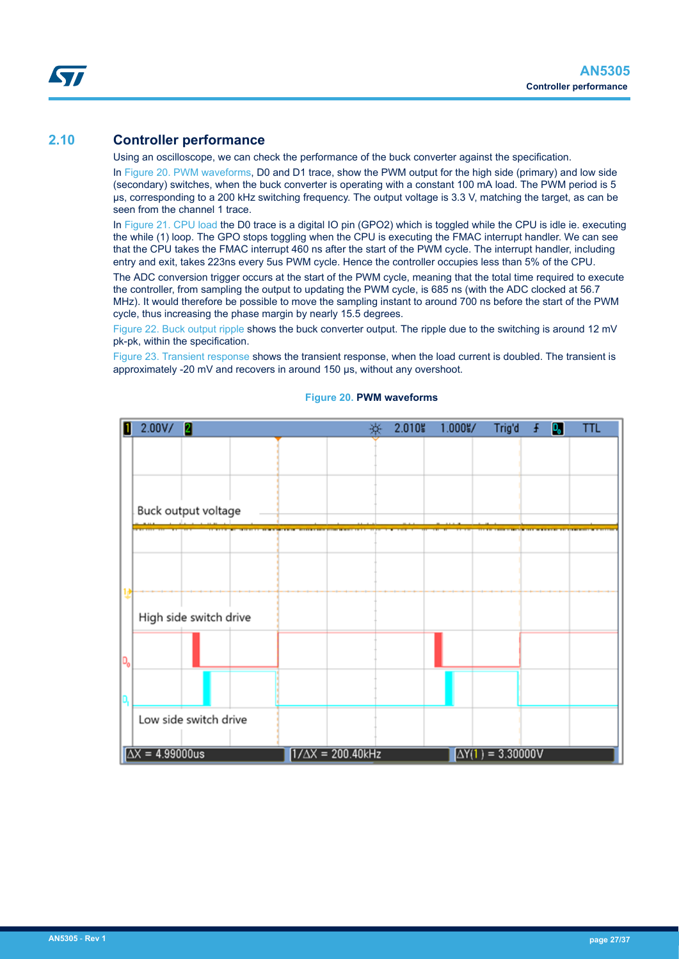## <span id="page-26-0"></span>**2.10 Controller performance**

Using an oscilloscope, we can check the performance of the buck converter against the specification.

In Figure 20. PWM waveforms, D0 and D1 trace, show the PWM output for the high side (primary) and low side (secondary) switches, when the buck converter is operating with a constant 100 mA load. The PWM period is 5 µs, corresponding to a 200 kHz switching frequency. The output voltage is 3.3 V, matching the target, as can be seen from the channel 1 trace.

In [Figure 21. CPU load](#page-27-0) the D0 trace is a digital IO pin (GPO2) which is toggled while the CPU is idle ie. executing the while (1) loop. The GPO stops toggling when the CPU is executing the FMAC interrupt handler. We can see that the CPU takes the FMAC interrupt 460 ns after the start of the PWM cycle. The interrupt handler, including entry and exit, takes 223ns every 5us PWM cycle. Hence the controller occupies less than 5% of the CPU.

The ADC conversion trigger occurs at the start of the PWM cycle, meaning that the total time required to execute the controller, from sampling the output to updating the PWM cycle, is 685 ns (with the ADC clocked at 56.7 MHz). It would therefore be possible to move the sampling instant to around 700 ns before the start of the PWM cycle, thus increasing the phase margin by nearly 15.5 degrees.

[Figure 22. Buck output ripple](#page-28-0) shows the buck converter output. The ripple due to the switching is around 12 mV pk-pk, within the specification.

[Figure 23. Transient response](#page-29-0) shows the transient response, when the load current is doubled. The transient is approximately -20 mV and recovers in around 150 µs, without any overshoot.



#### **Figure 20. PWM waveforms**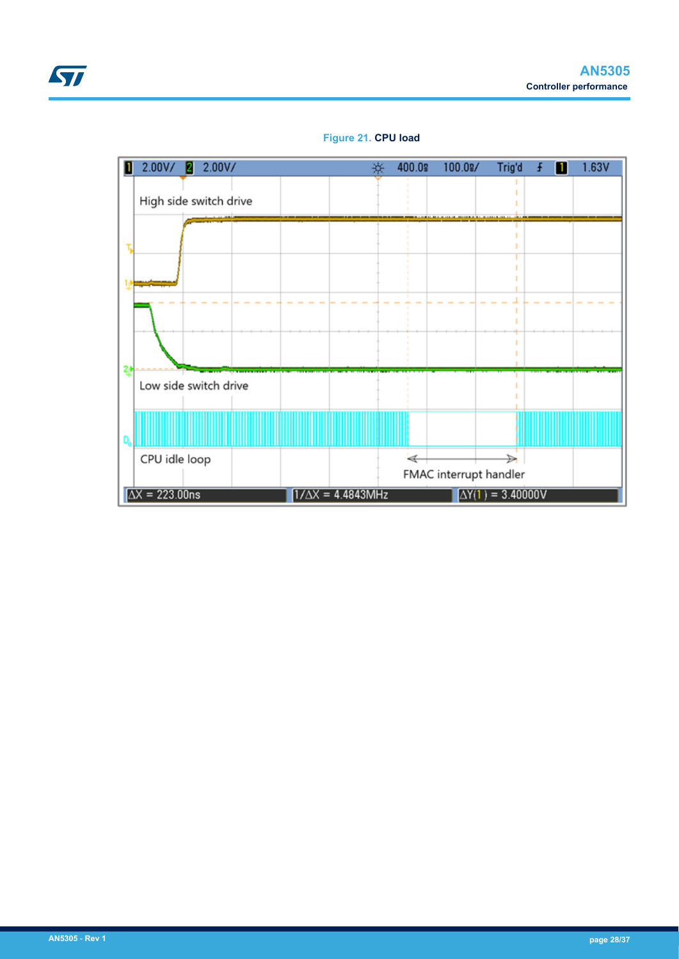<span id="page-27-0"></span>

## **Figure 21. CPU load**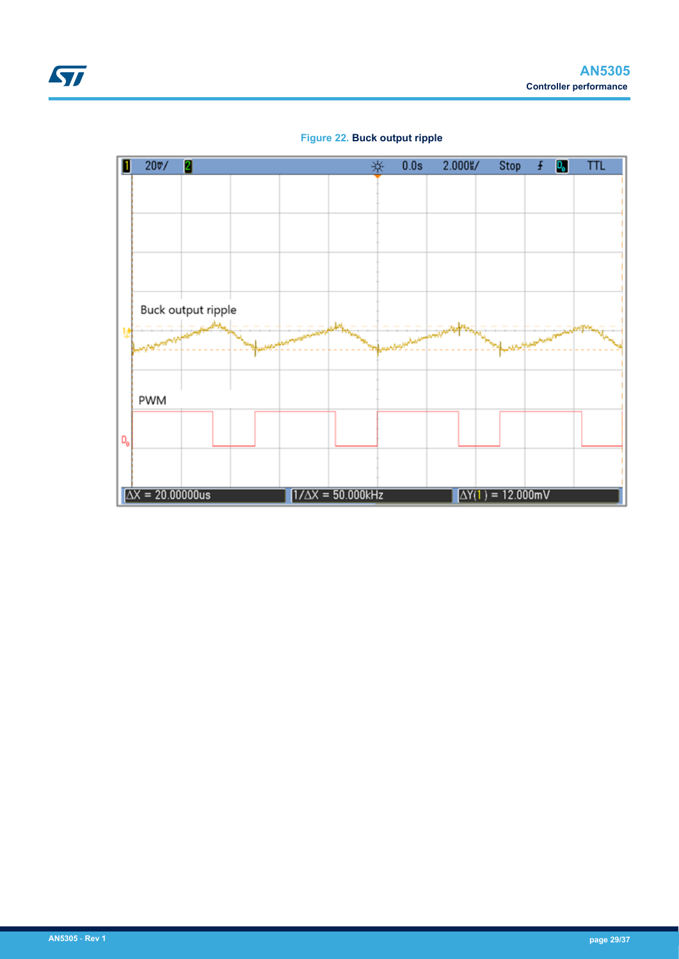<span id="page-28-0"></span>

## **Figure 22. Buck output ripple**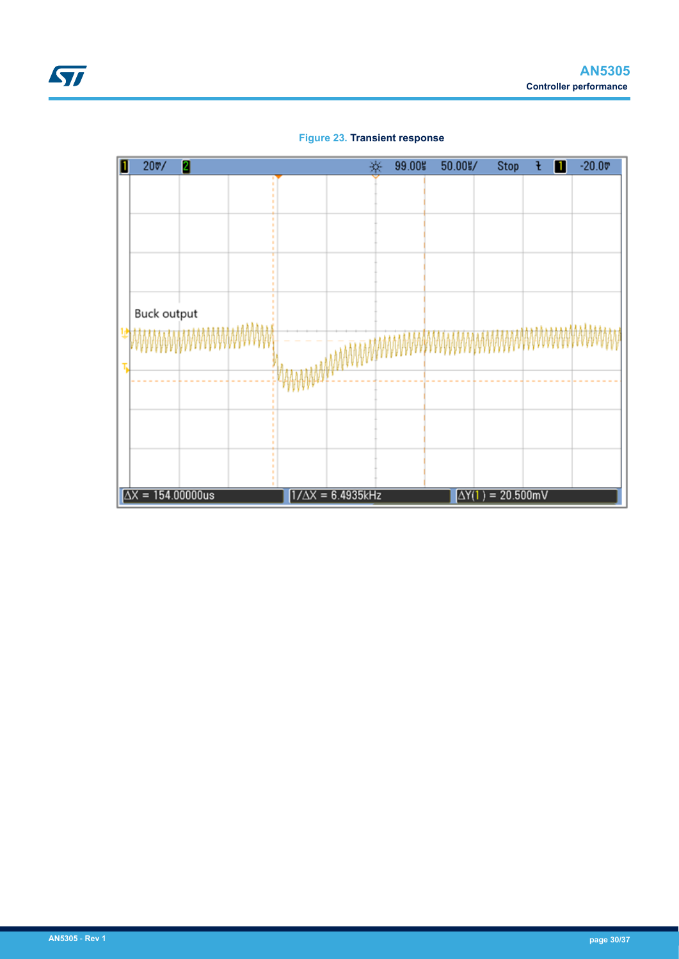<span id="page-29-0"></span>

**Figure 23. Transient response**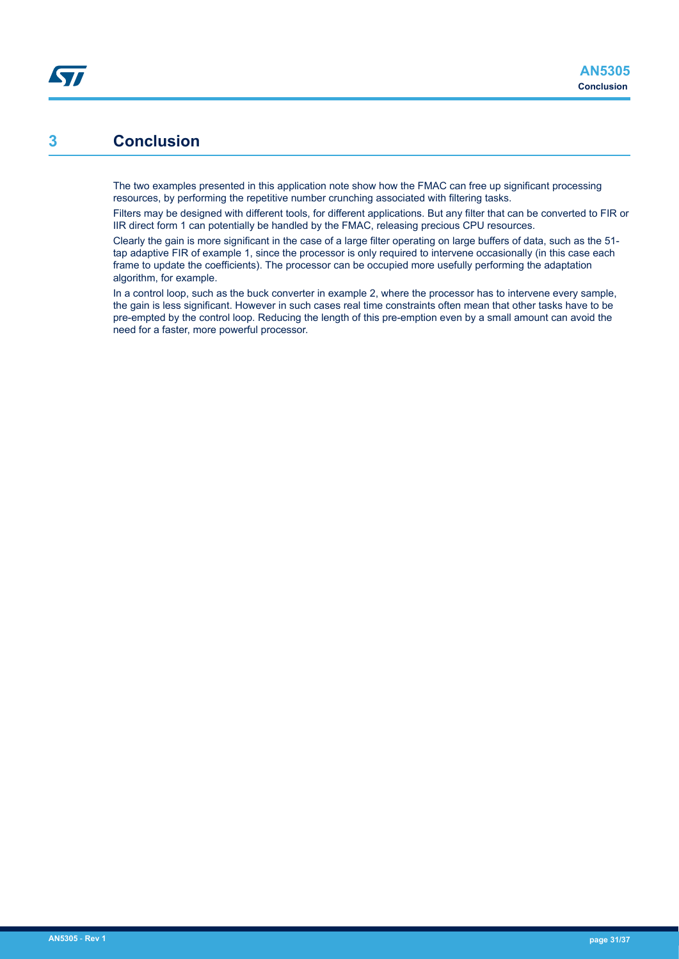## **3 Conclusion**

<span id="page-30-0"></span>**S77** 

The two examples presented in this application note show how the FMAC can free up significant processing resources, by performing the repetitive number crunching associated with filtering tasks.

Filters may be designed with different tools, for different applications. But any filter that can be converted to FIR or IIR direct form 1 can potentially be handled by the FMAC, releasing precious CPU resources.

Clearly the gain is more significant in the case of a large filter operating on large buffers of data, such as the 51 tap adaptive FIR of example 1, since the processor is only required to intervene occasionally (in this case each frame to update the coefficients). The processor can be occupied more usefully performing the adaptation algorithm, for example.

In a control loop, such as the buck converter in example 2, where the processor has to intervene every sample, the gain is less significant. However in such cases real time constraints often mean that other tasks have to be pre-empted by the control loop. Reducing the length of this pre-emption even by a small amount can avoid the need for a faster, more powerful processor.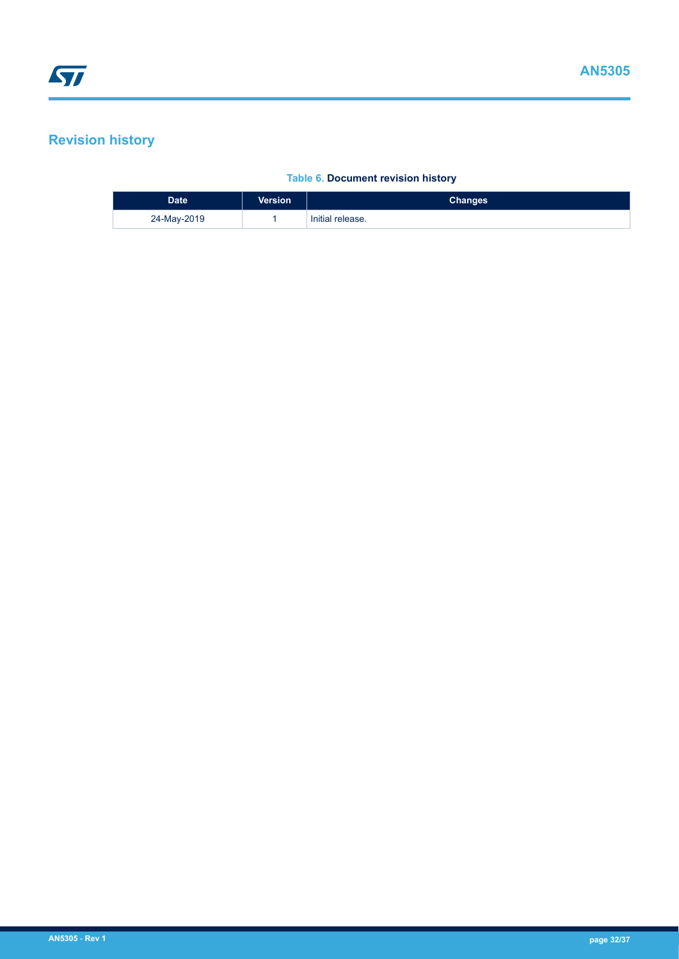## <span id="page-31-0"></span>**Revision history**

## **Table 6. Document revision history**

| <b>Date</b> | <b>Version</b> | <b>Changes</b>   |
|-------------|----------------|------------------|
| 24-May-2019 |                | Initial release. |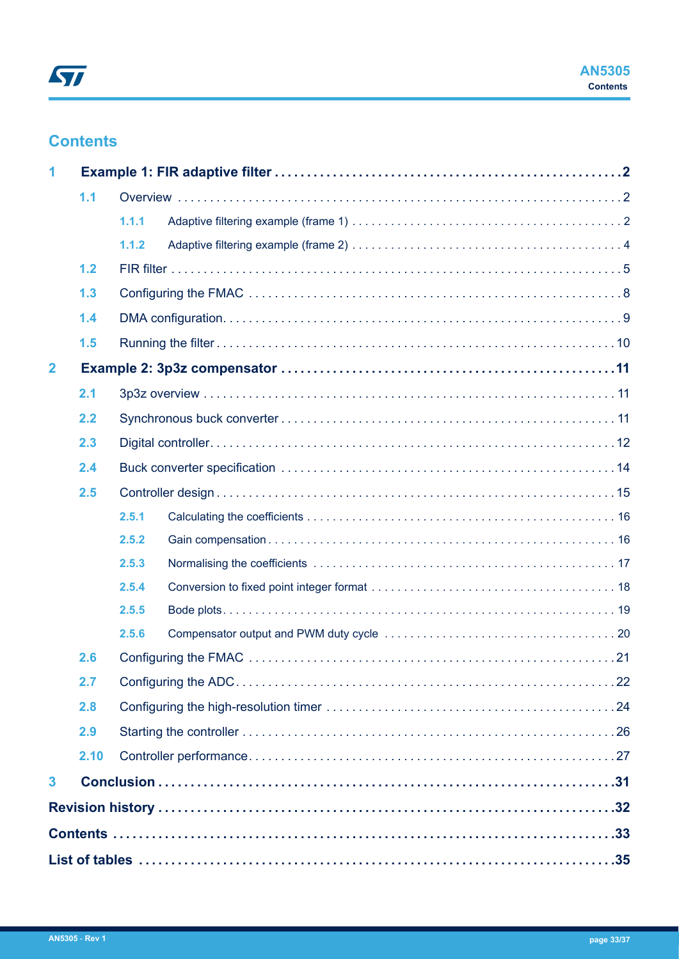## **Contents**

| 1                       |      |       |  |  |  |  |  |
|-------------------------|------|-------|--|--|--|--|--|
|                         | 1.1  |       |  |  |  |  |  |
|                         |      | 1.1.1 |  |  |  |  |  |
|                         |      | 1.1.2 |  |  |  |  |  |
|                         | 1.2  |       |  |  |  |  |  |
|                         | 1.3  |       |  |  |  |  |  |
|                         | 1.4  |       |  |  |  |  |  |
|                         | 1.5  |       |  |  |  |  |  |
| $\overline{2}$          |      |       |  |  |  |  |  |
|                         | 2.1  |       |  |  |  |  |  |
|                         | 2.2  |       |  |  |  |  |  |
|                         | 2.3  |       |  |  |  |  |  |
|                         | 2.4  |       |  |  |  |  |  |
|                         | 2.5  |       |  |  |  |  |  |
|                         |      | 2.5.1 |  |  |  |  |  |
|                         |      | 2.5.2 |  |  |  |  |  |
|                         |      | 2.5.3 |  |  |  |  |  |
|                         |      | 2.5.4 |  |  |  |  |  |
|                         |      | 2.5.5 |  |  |  |  |  |
|                         |      | 2.5.6 |  |  |  |  |  |
|                         | 2.6  |       |  |  |  |  |  |
|                         | 2.7  |       |  |  |  |  |  |
|                         | 2.8  |       |  |  |  |  |  |
|                         | 2.9  |       |  |  |  |  |  |
|                         | 2.10 |       |  |  |  |  |  |
| $\overline{\mathbf{3}}$ |      |       |  |  |  |  |  |
|                         |      |       |  |  |  |  |  |
|                         |      |       |  |  |  |  |  |
|                         |      |       |  |  |  |  |  |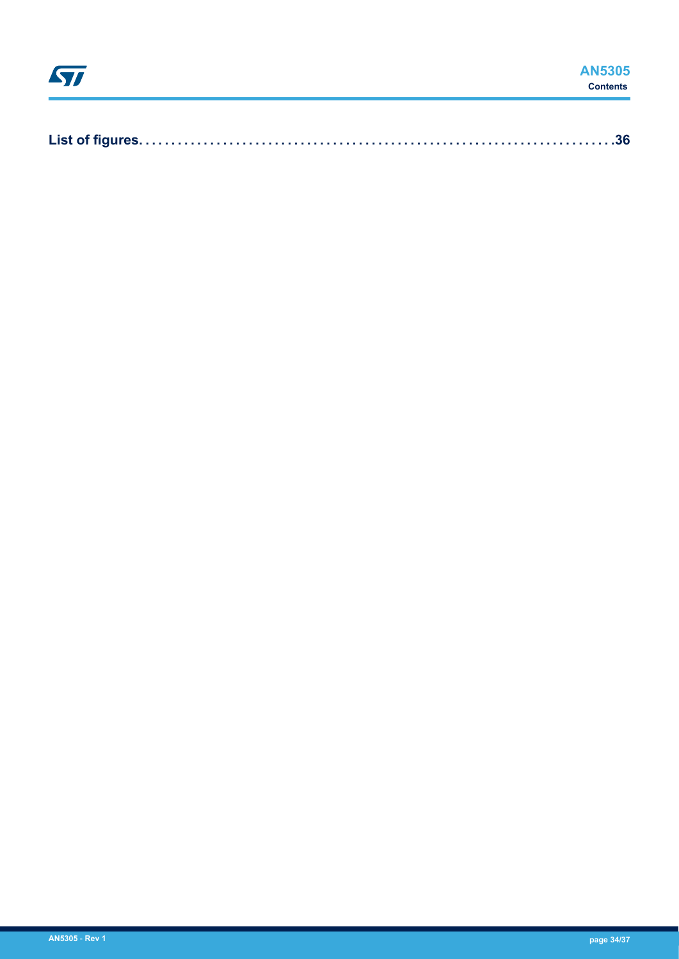|--|--|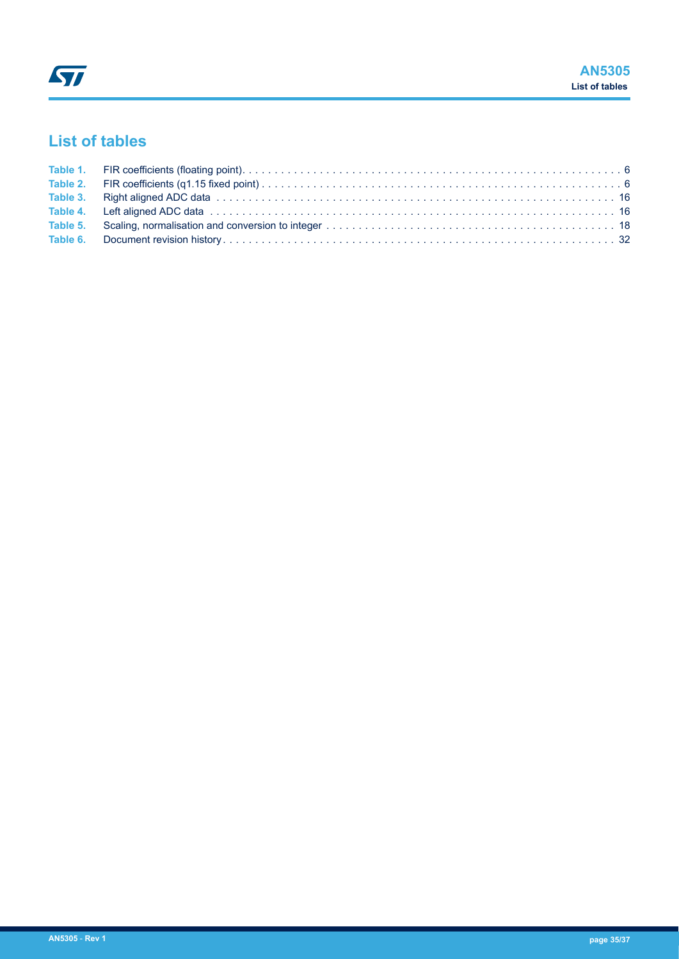## <span id="page-34-0"></span>**List of tables**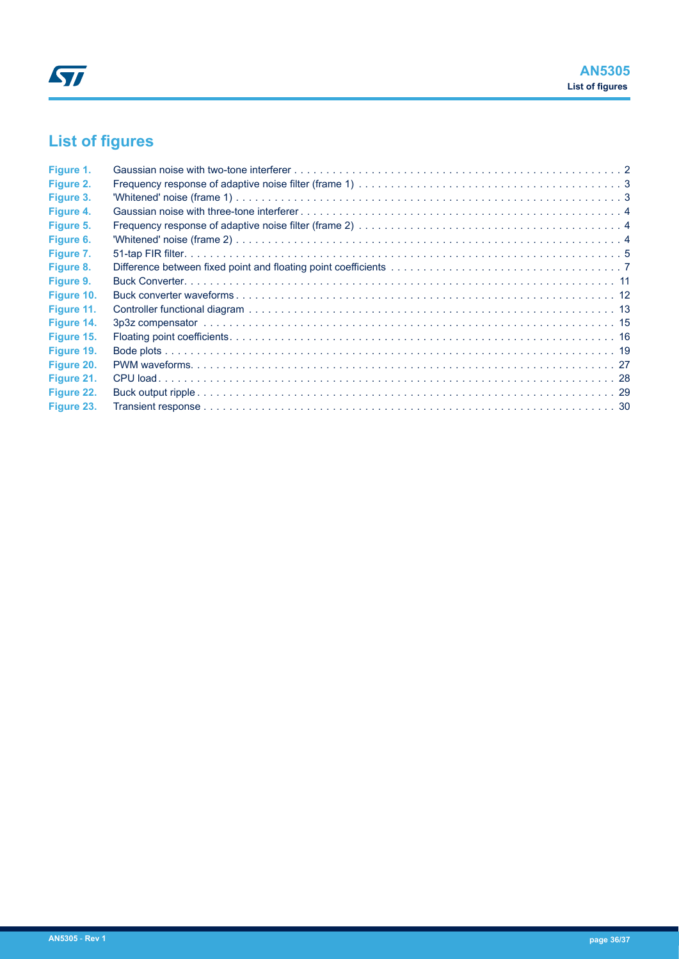# <span id="page-35-0"></span>**List of figures**

| Figure 1.  |  |
|------------|--|
| Figure 2.  |  |
| Figure 3.  |  |
| Figure 4.  |  |
| Figure 5.  |  |
| Figure 6.  |  |
| Figure 7.  |  |
| Figure 8.  |  |
| Figure 9.  |  |
| Figure 10. |  |
| Figure 11. |  |
| Figure 14. |  |
| Figure 15. |  |
| Figure 19. |  |
| Figure 20. |  |
| Figure 21. |  |
| Figure 22. |  |
| Figure 23. |  |